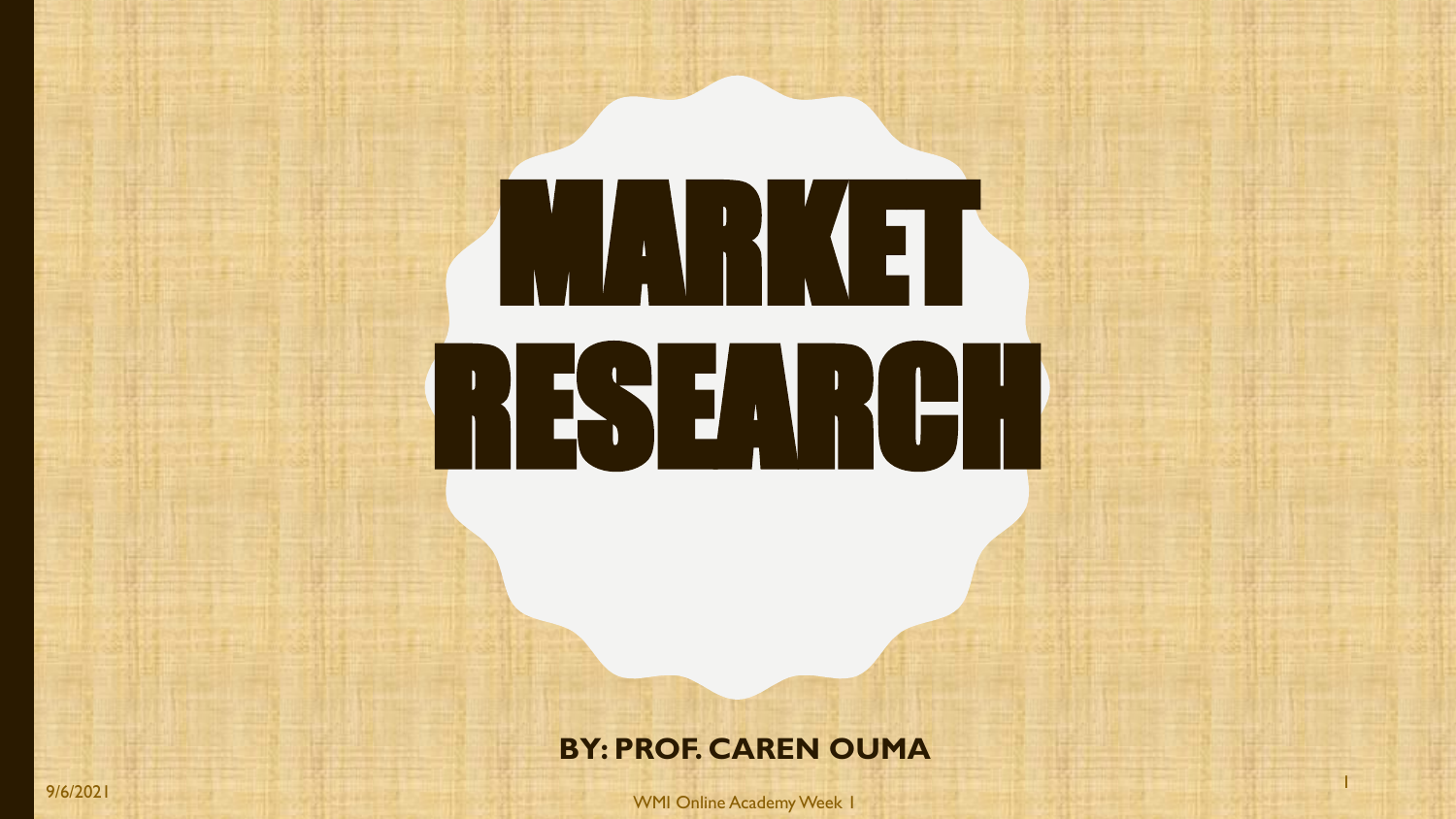# **MARKET** RESEARCH

#### **BY: PROF. CAREN OUMA**

9/6/2021 WMI Online Academy Week 1

1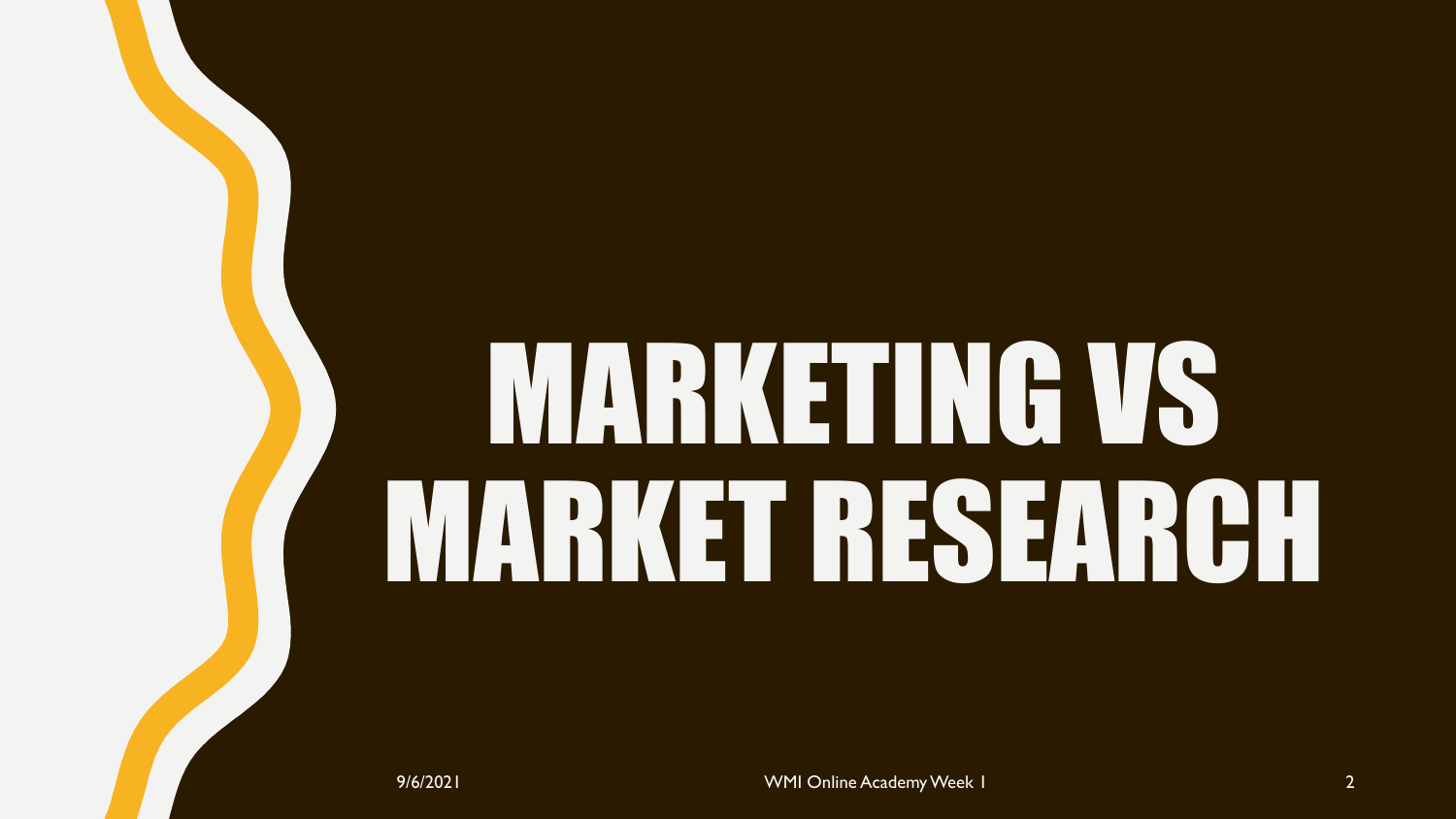# MARKETING VS MARKET RESEARCH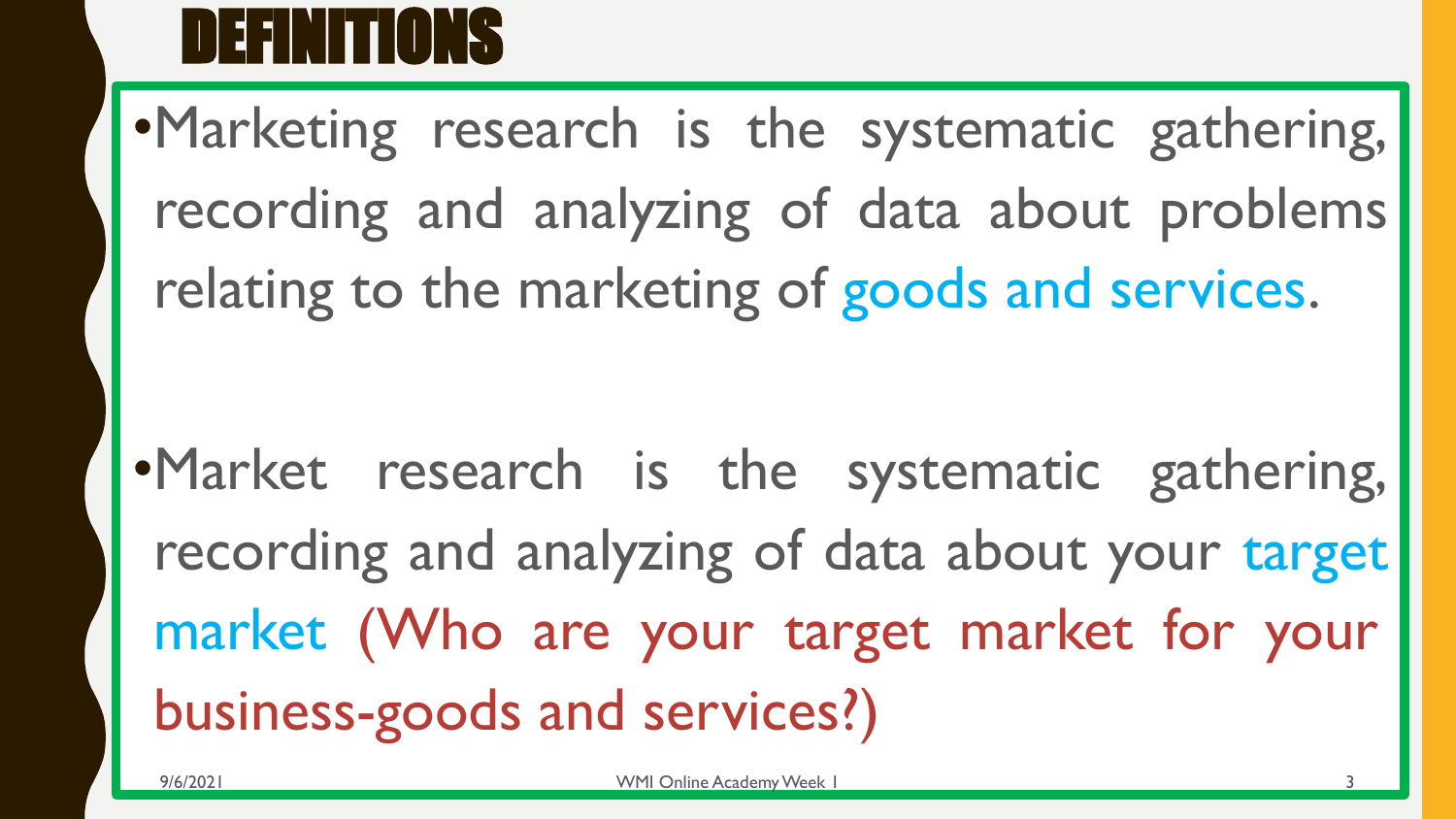

•Marketing research is the systematic gathering, recording and analyzing of data about problems relating to the marketing of goods and services.

•Market research is the systematic gathering, recording and analyzing of data about your target market (Who are your target market for your business-goods and services?)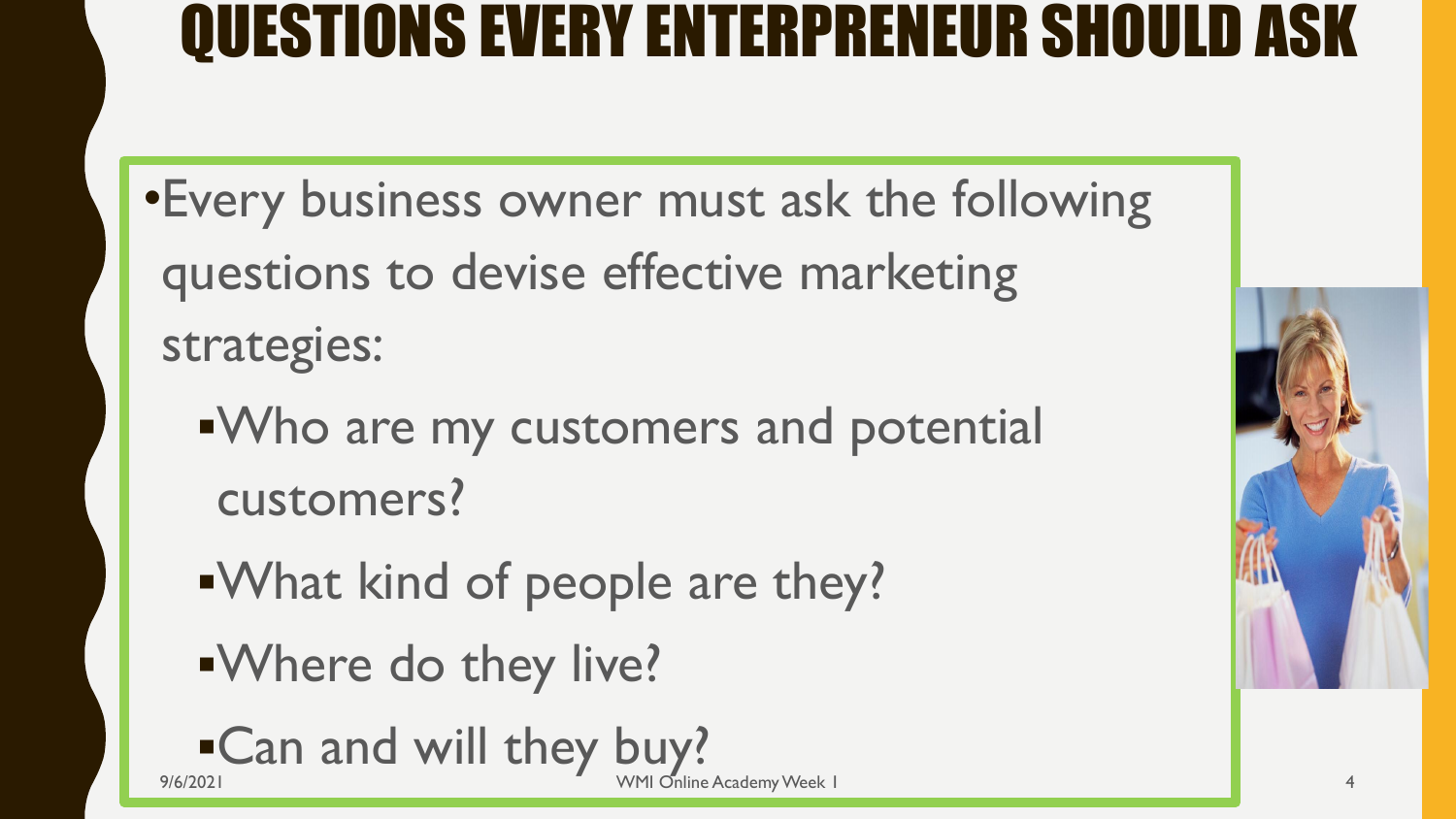## QUESTIONS EVERY ENTERPRENEUR SHOULD ASK

- •Every business owner must ask the following questions to devise effective marketing strategies:
	- ▪Who are my customers and potential customers?
	- ▪What kind of people are they?
	- ▪Where do they live?



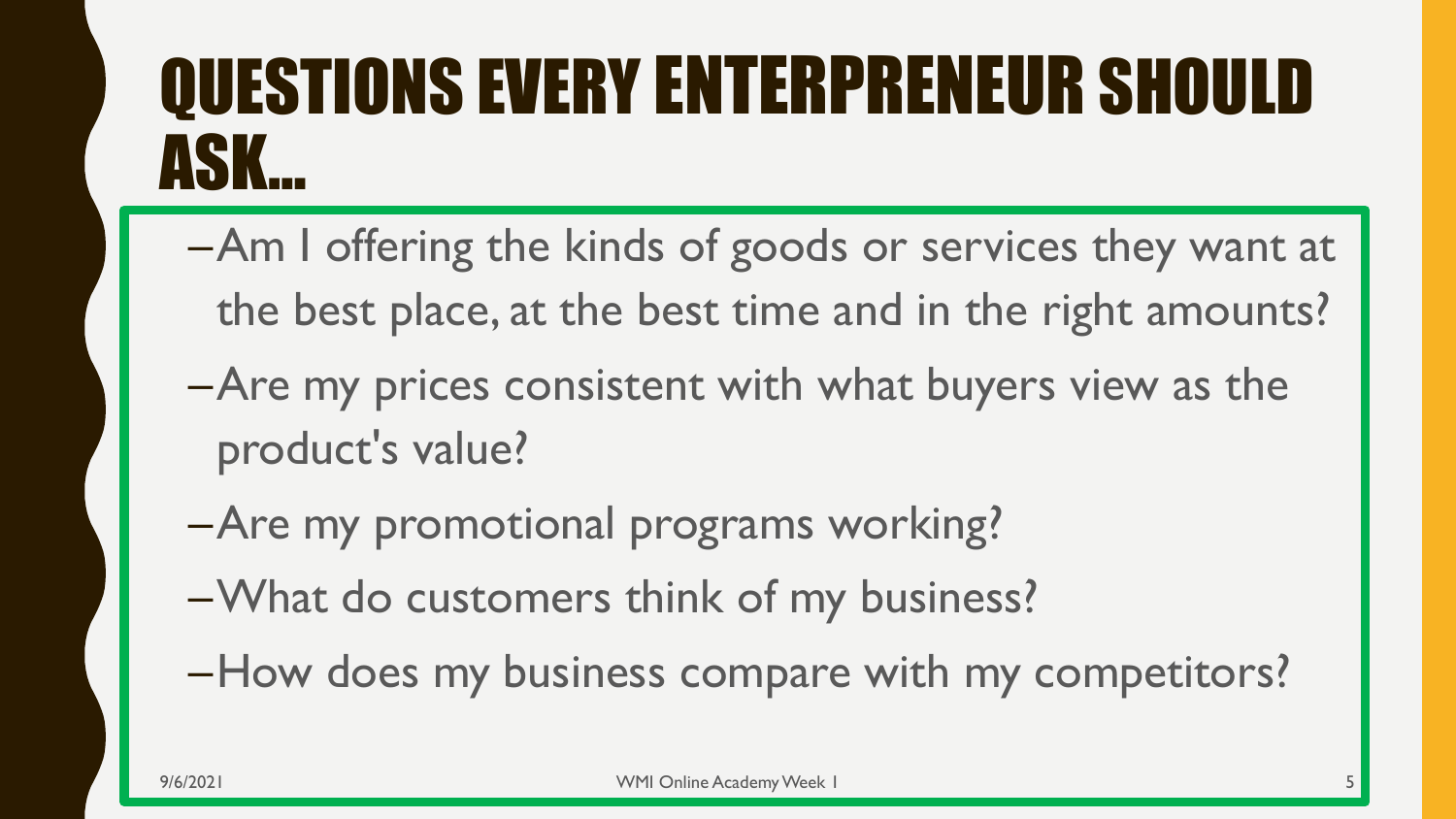# QUESTIONS EVERY ENTERPRENEUR SHOULD ASK…

- –Am I offering the kinds of goods or services they want at the best place, at the best time and in the right amounts?
- –Are my prices consistent with what buyers view as the product's value?
- –Are my promotional programs working?
- –What do customers think of my business?
- –How does my business compare with my competitors?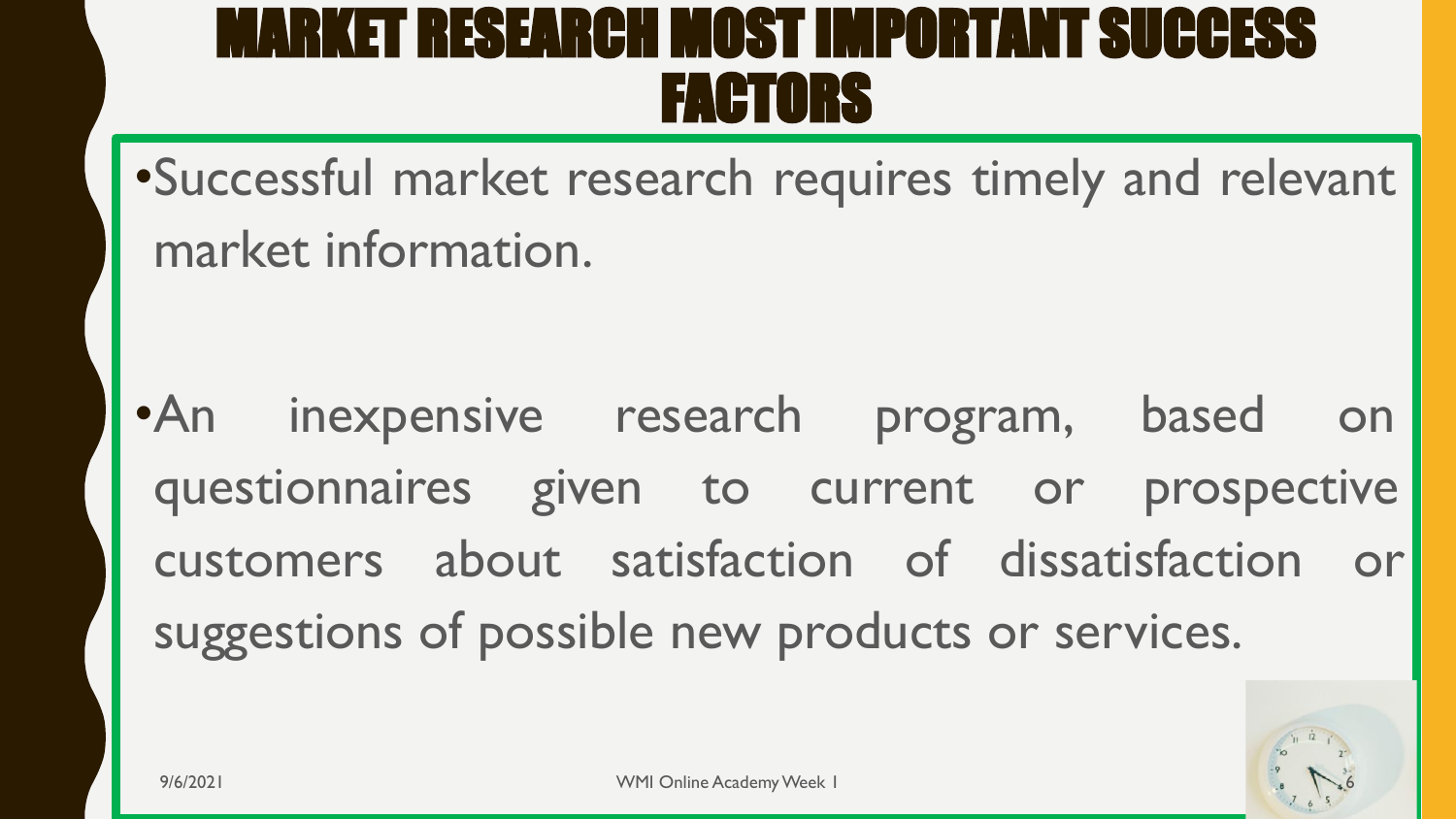### MARKET RESEARCH MOST IMPORTANT SUCCESS FACTORS

•Successful market research requires timely and relevant market information.

•An inexpensive research program, based on questionnaires given to current or prospective customers about satisfaction of dissatisfaction or suggestions of possible new products or services.

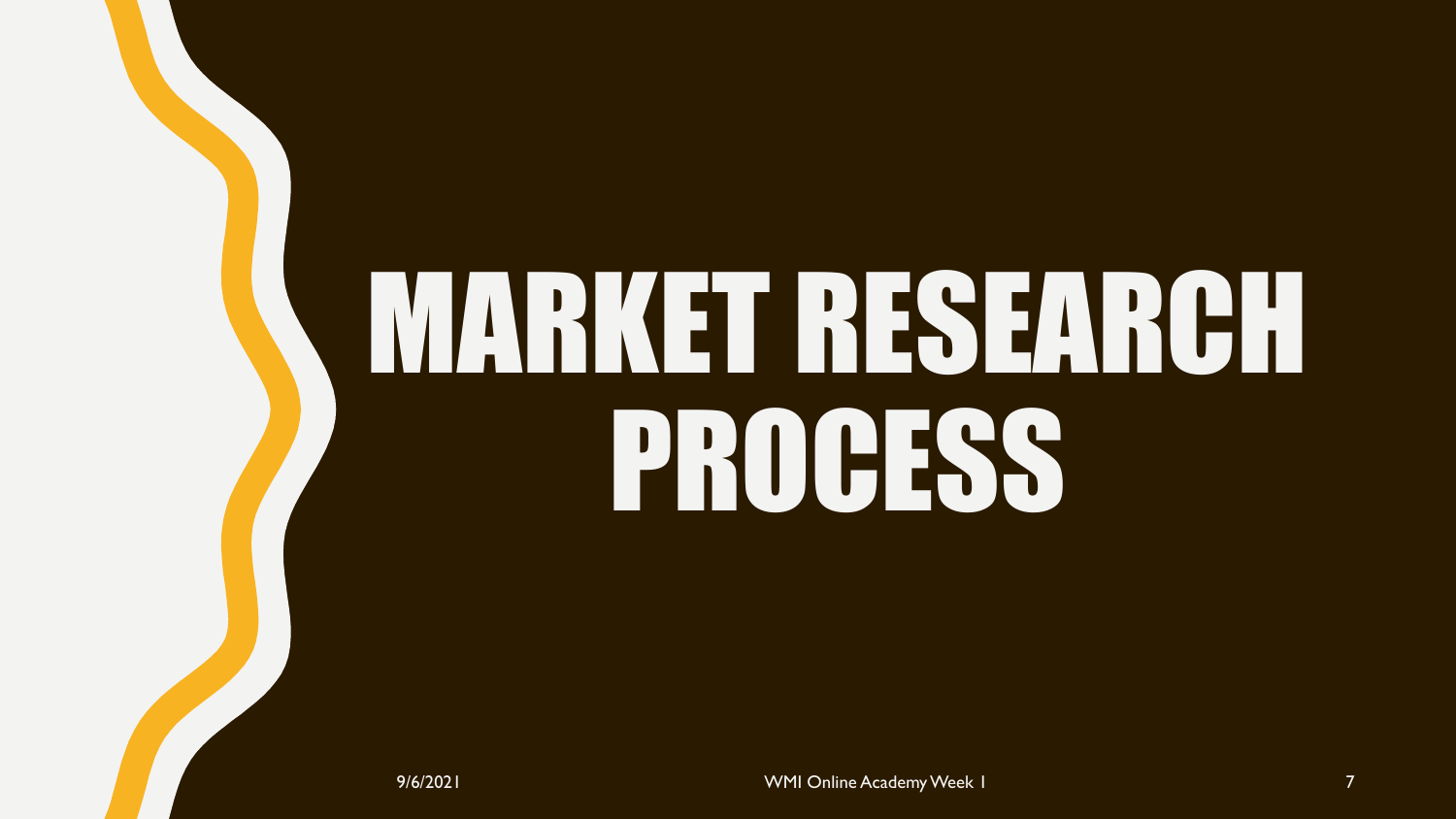# MARKET RESEARCH PROCESS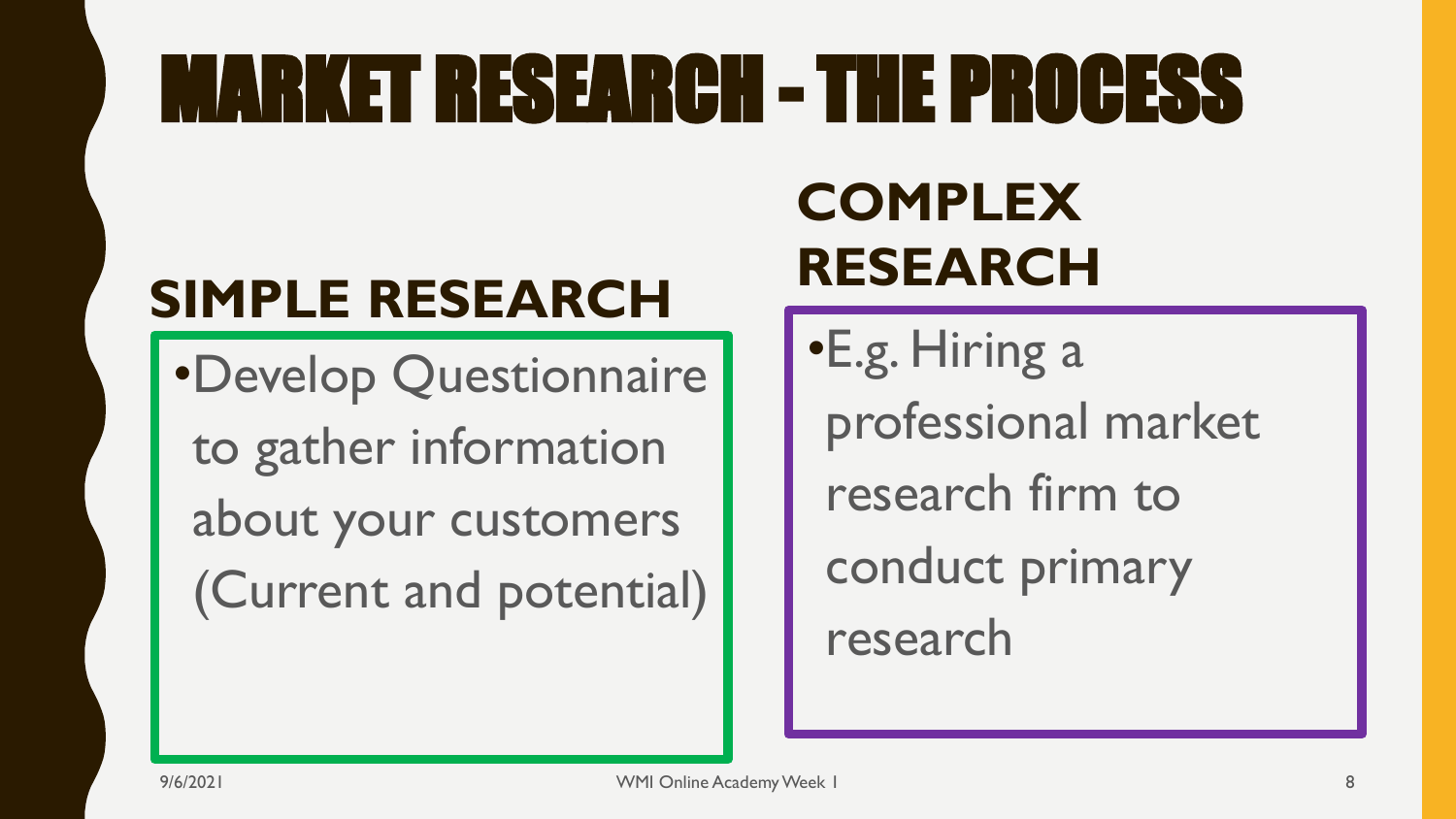# MARKET RESEARCH - THE PROCESS

### **SIMPLE RESEARCH**

•Develop Questionnaire to gather information about your customers (Current and potential)

### **COMPLEX RESEARCH**

•E.g. Hiring a professional market research firm to conduct primary research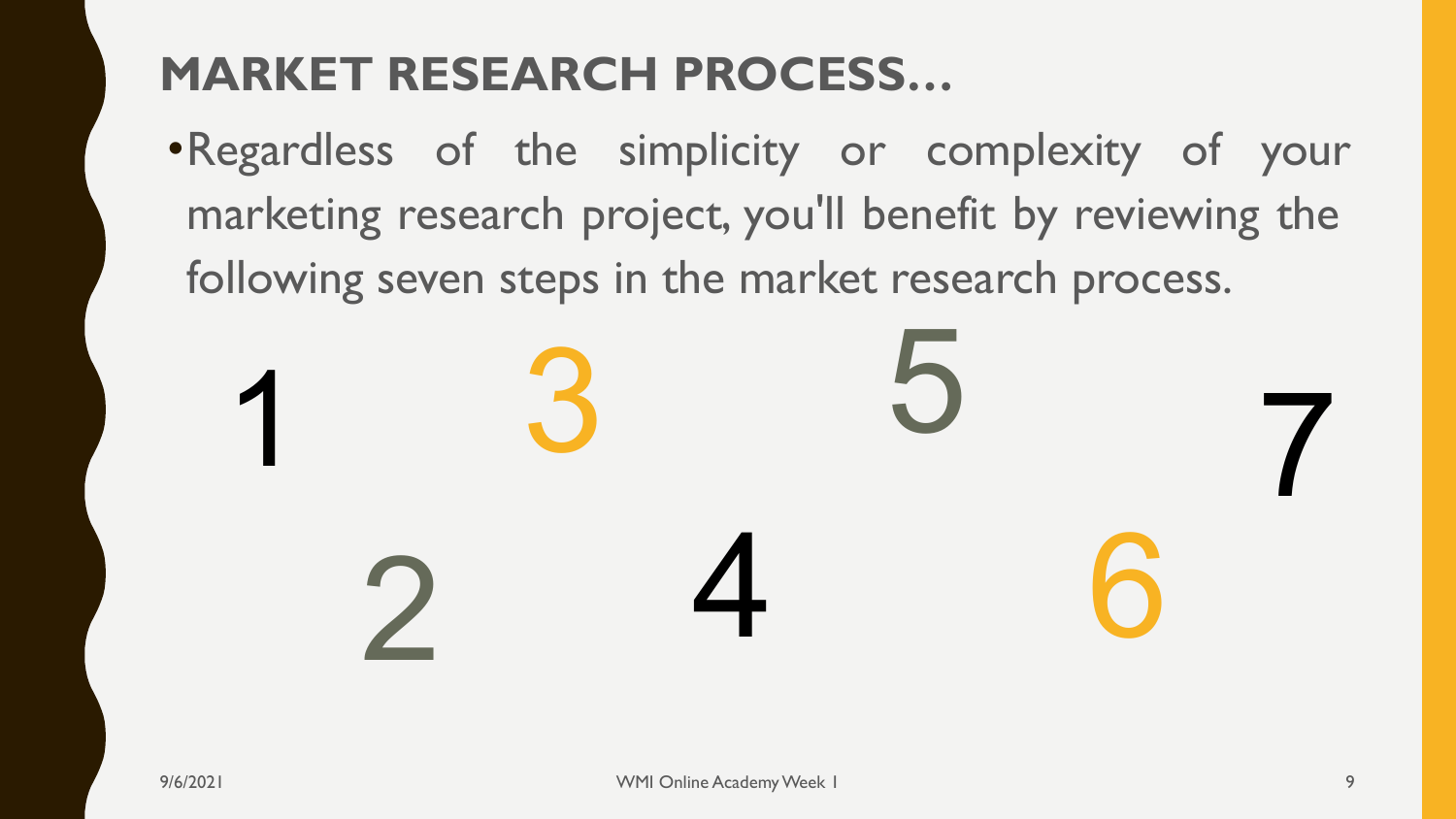#### **MARKET RESEARCH PROCESS…**

•Regardless of the simplicity or complexity of your marketing research project, you'll benefit by reviewing the following seven steps in the market research process.

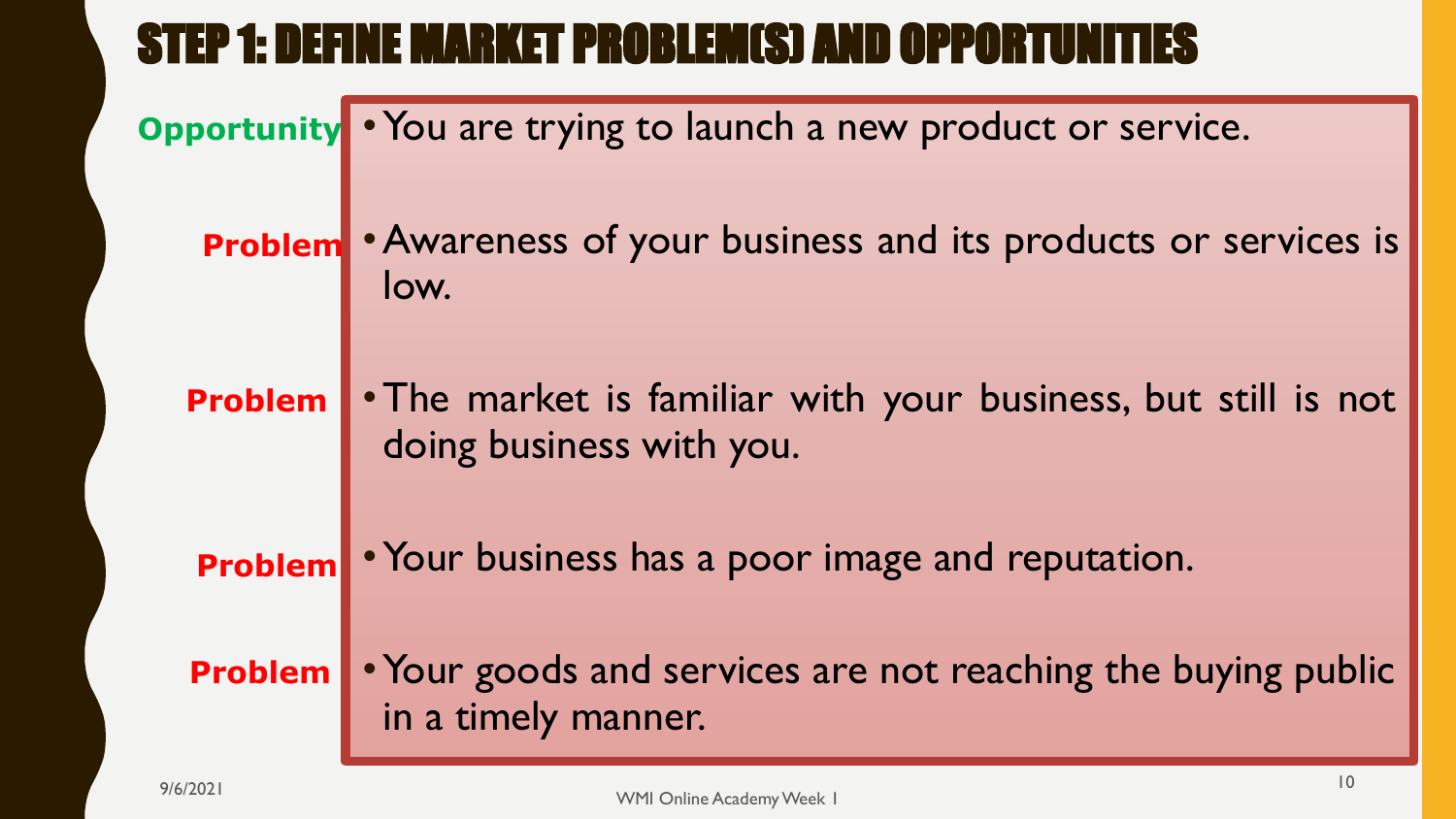#### STEP 1: DEFINE MARKET PROBLEM(S) AND OPPORTUNITIES

**Opportunity** • You are trying to launch a new product or service.

**Problem** • Awareness of your business and its products or services is low.

•The market is familiar with your business, but still is not doing business with you. **Problem**

•Your business has a poor image and reputation. **Problem**

• Your goods and services are not reaching the buying public in a timely manner. **Problem**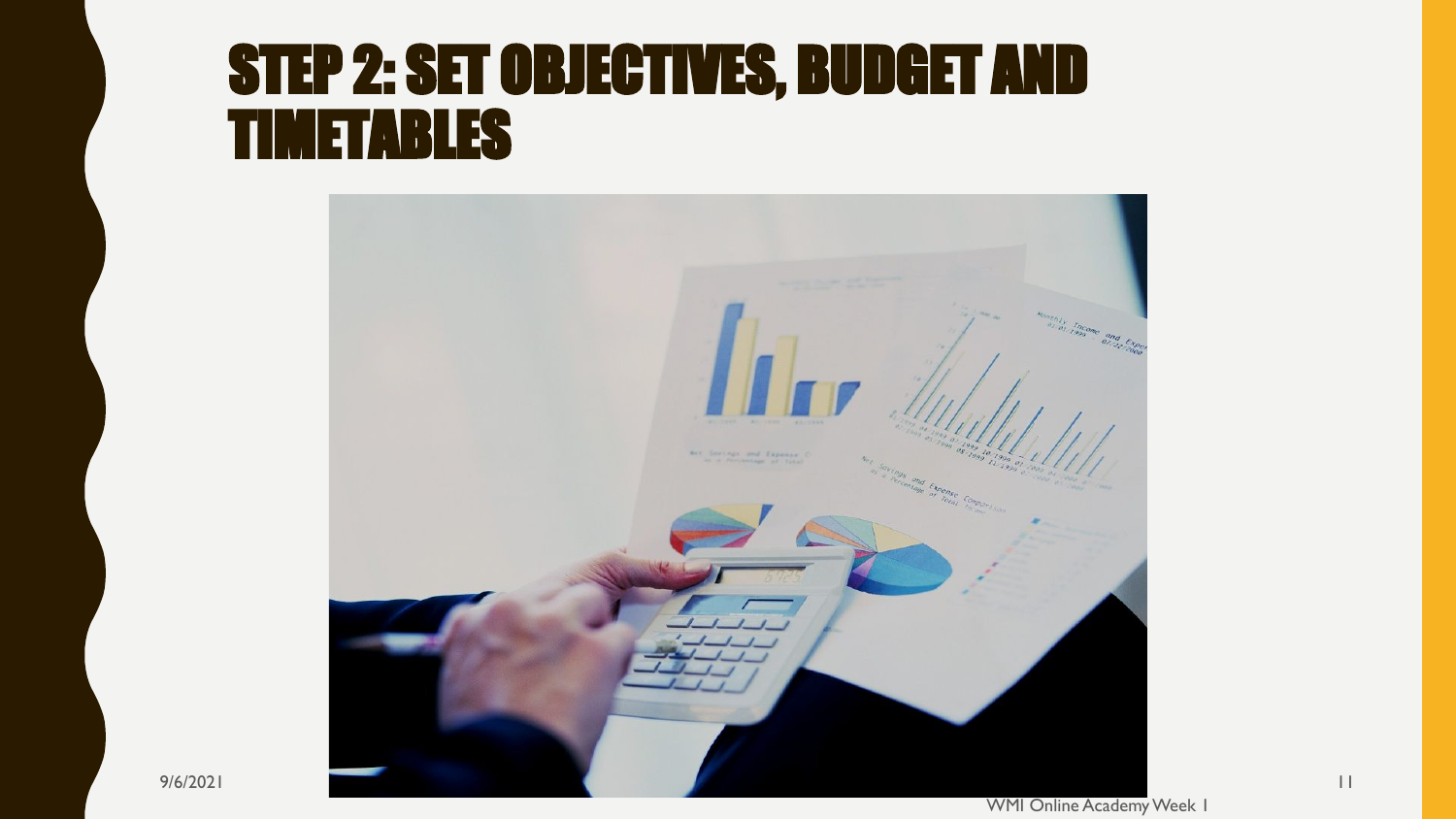### STEP 2: SET OBJECTIVES, BUDGET AND TIMETABLES



9/6/2021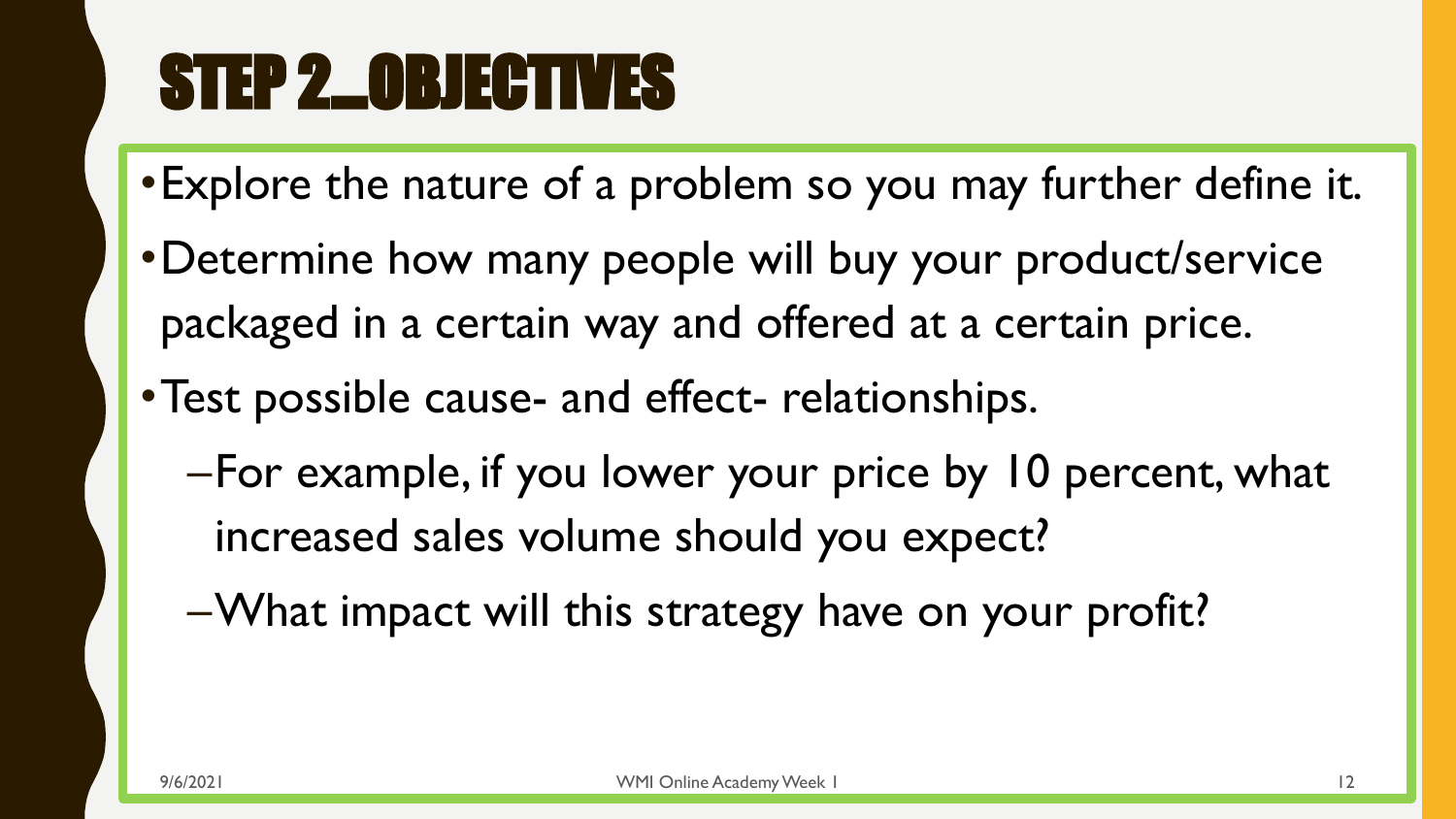# STEP 2…OBJECTIVES

- •Explore the nature of a problem so you may further define it.
- •Determine how many people will buy your product/service packaged in a certain way and offered at a certain price.
- •Test possible cause- and effect- relationships.
	- –For example, if you lower your price by 10 percent, what increased sales volume should you expect?
	- –What impact will this strategy have on your profit?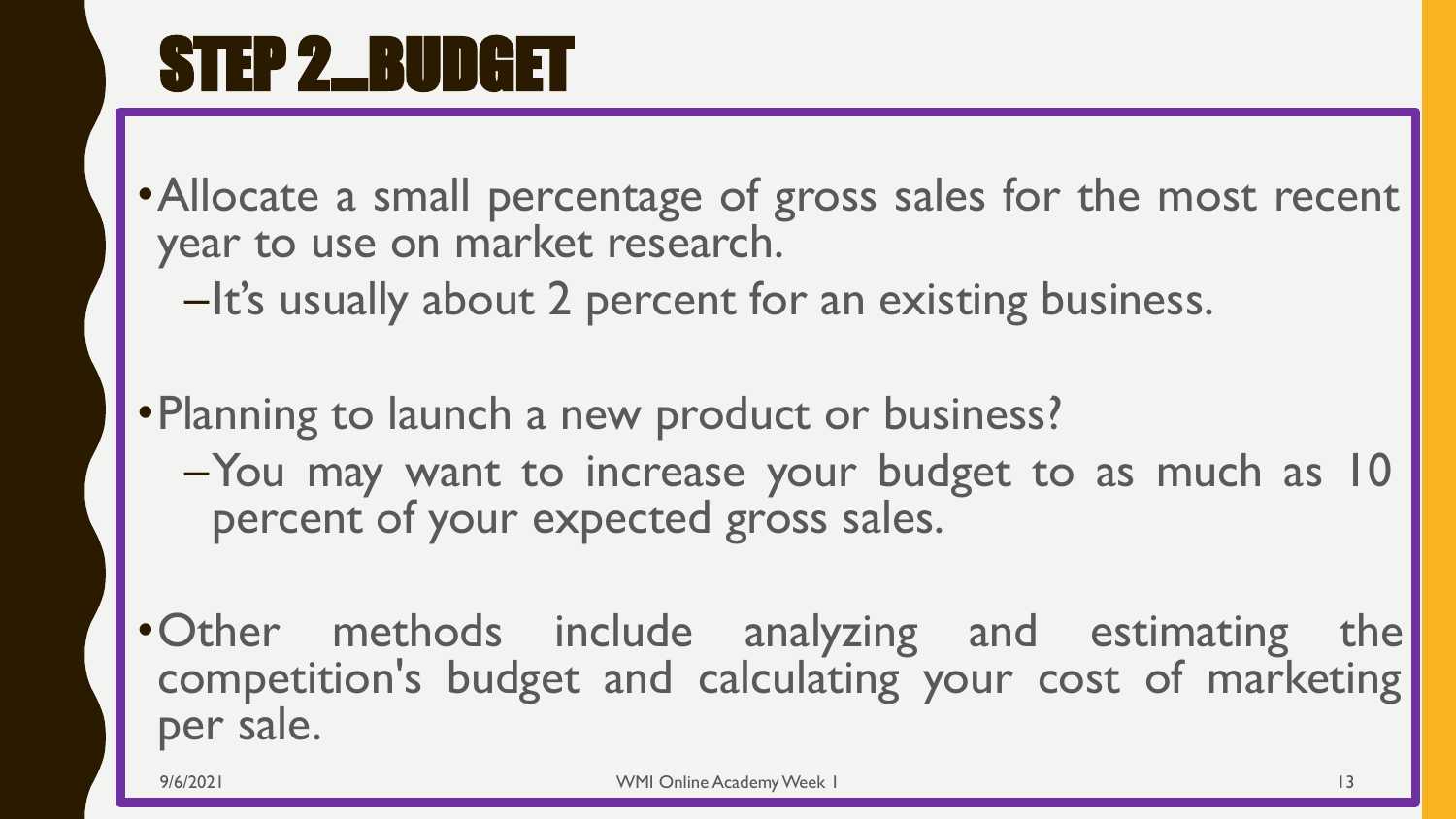• Allocate a small percentage of gross sales for the most recent year to use on market research.

–It's usually about 2 percent for an existing business.

•Planning to launch a new product or business?

- –You may want to increase your budget to as much as 10 percent of your expected gross sales.
- •Other methods include analyzing and estimating the competition's budget and calculating your cost of marketing per sale.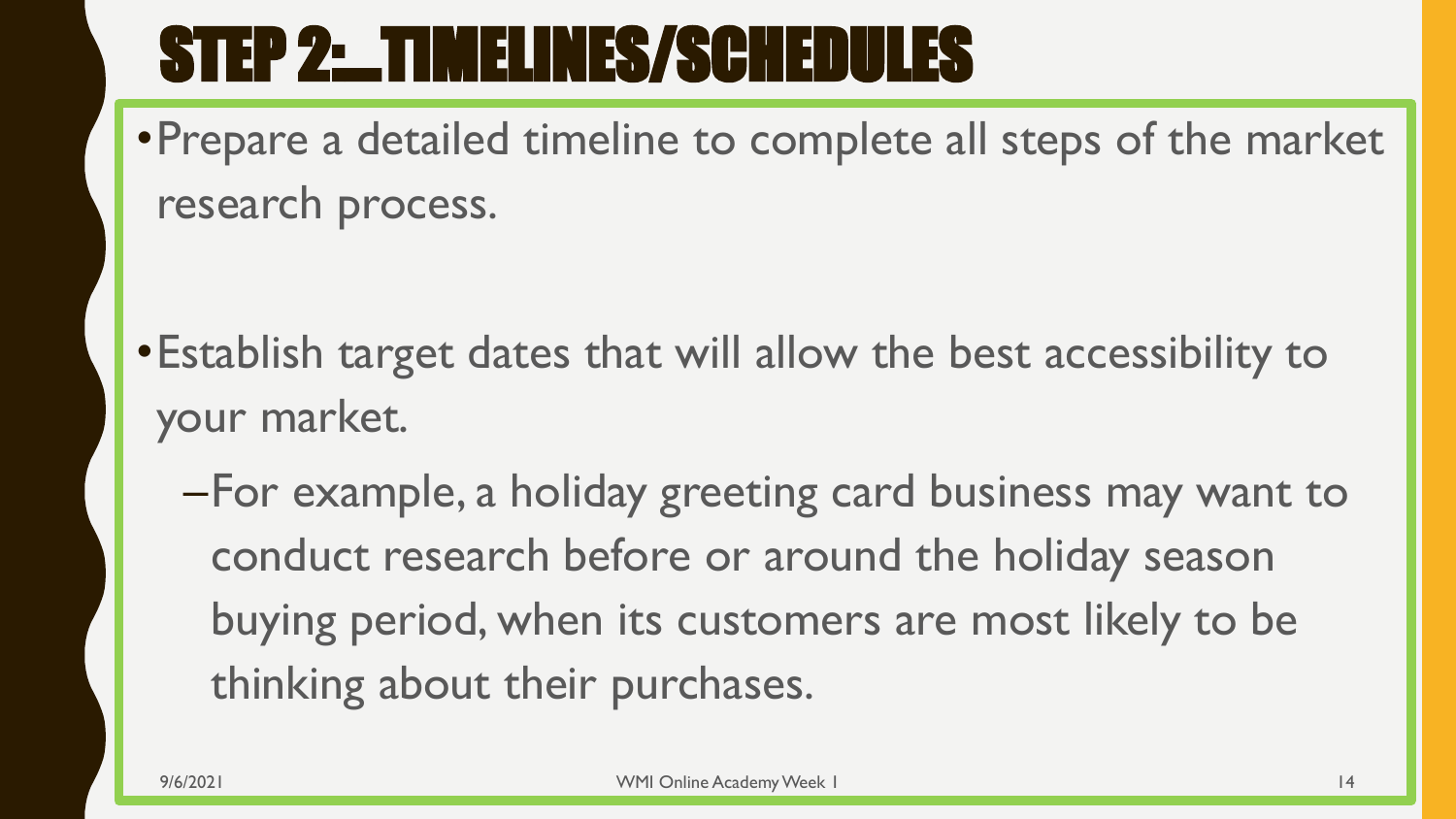# STEP 2:…TIMELINES/SCHEDULES

•Prepare a detailed timeline to complete all steps of the market research process.

- •Establish target dates that will allow the best accessibility to your market.
	- –For example, a holiday greeting card business may want to conduct research before or around the holiday season buying period, when its customers are most likely to be thinking about their purchases.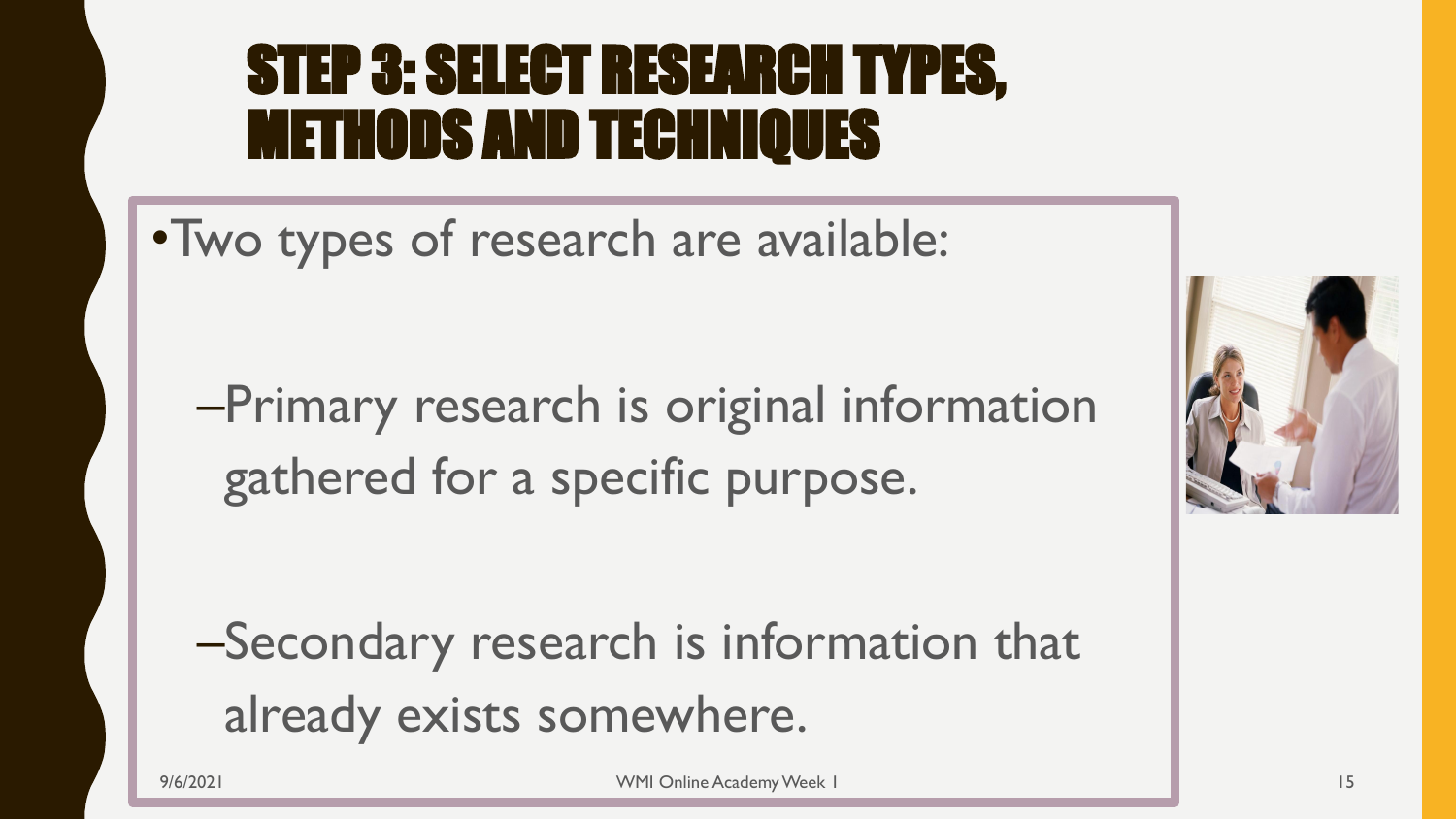### STEP 3: SELECT RESEARCH TYPES, METHODS AND TECHNIQUES

•Two types of research are available:

–Primary research is original information gathered for a specific purpose.

–Secondary research is information that already exists somewhere.

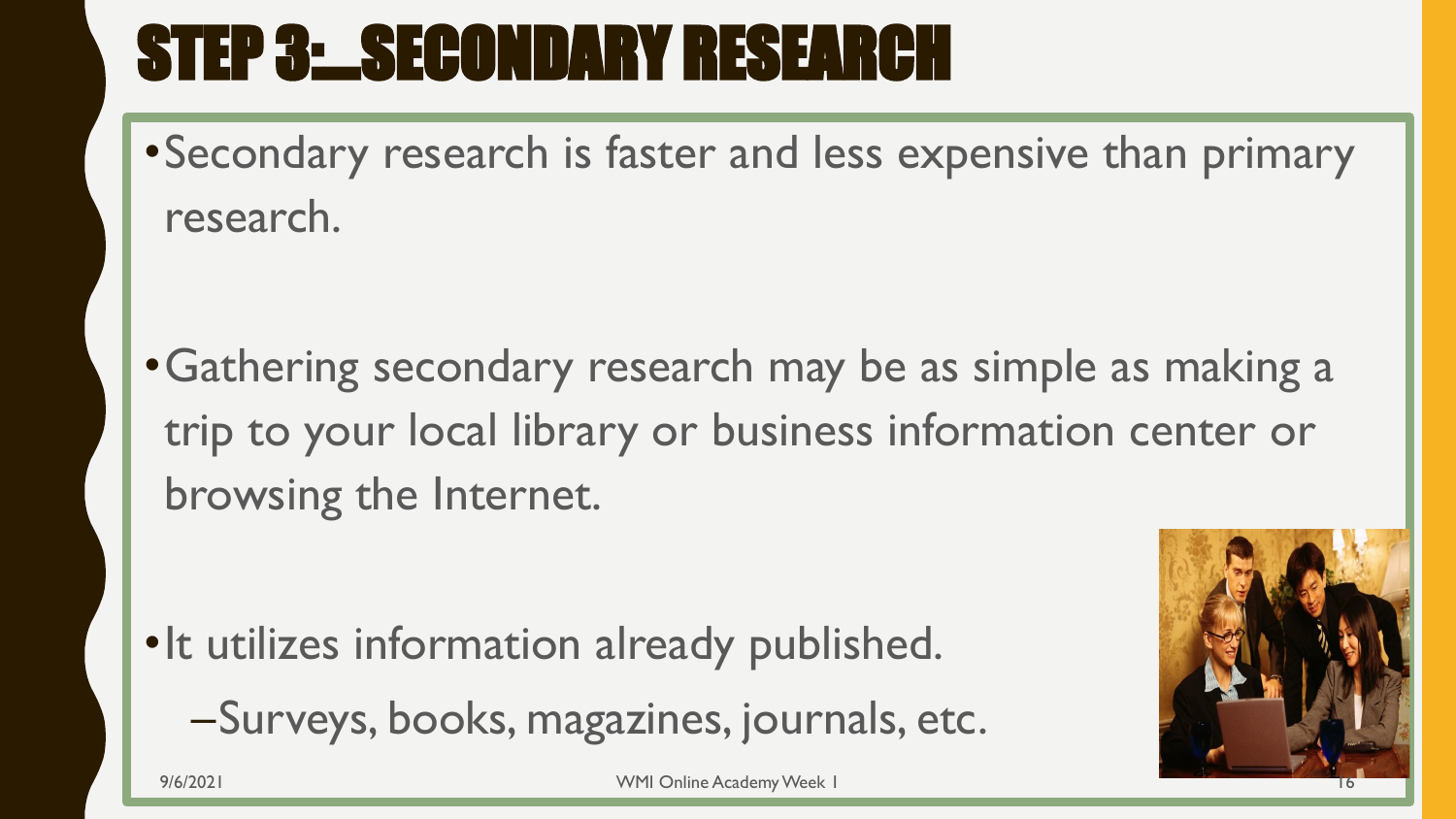# STEP 3: SECONDARY RESEARCH

•Secondary research is faster and less expensive than primary research.

•Gathering secondary research may be as simple as making a trip to your local library or business information center or browsing the Internet.

•It utilizes information already published. –Surveys, books, magazines, journals, etc.

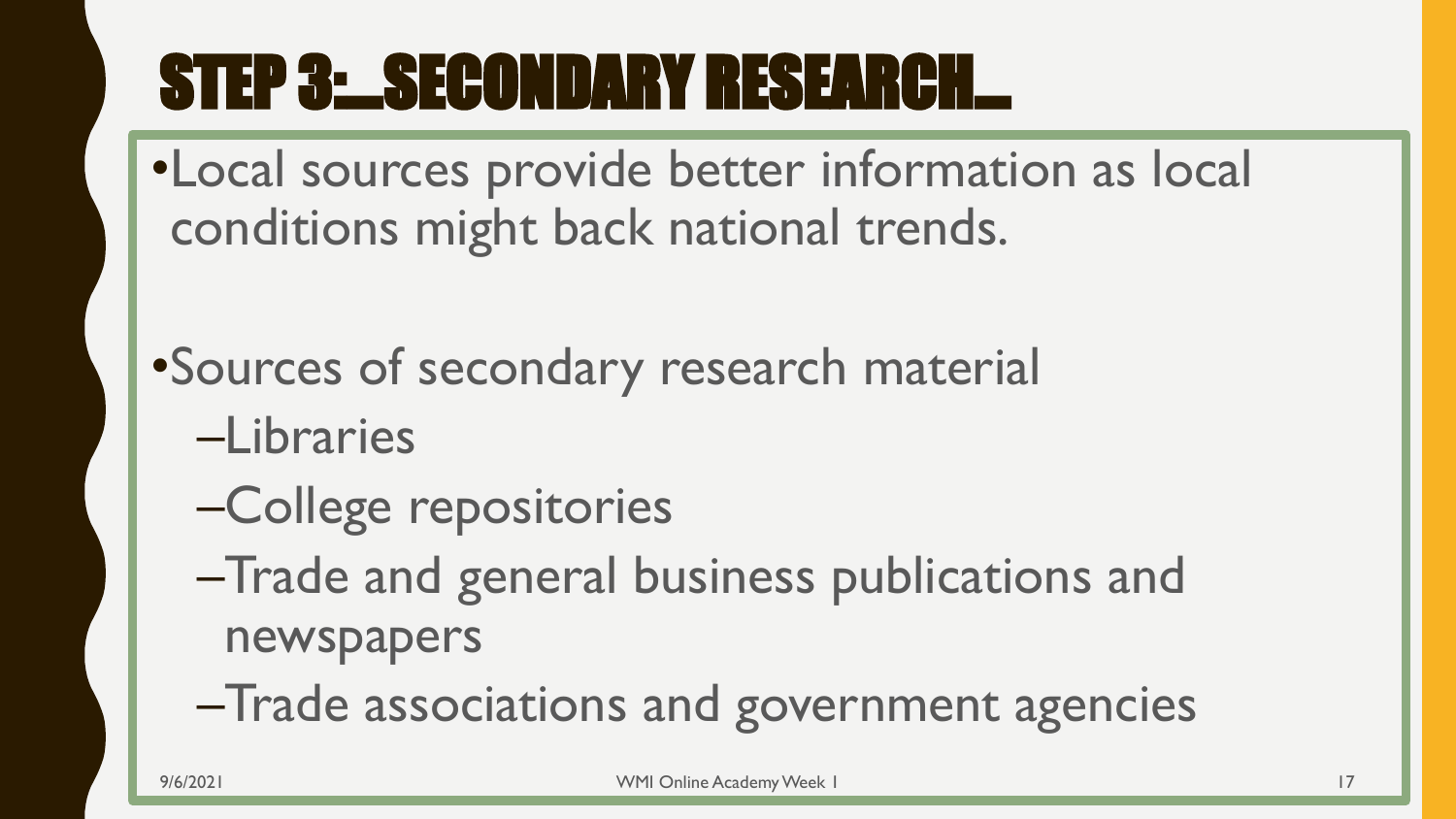# STEP 3:…SECONDARY RESEARCH…

- •Local sources provide better information as local conditions might back national trends.
- •Sources of secondary research material
	- –Libraries
	- –College repositories
	- –Trade and general business publications and newspapers
	- –Trade associations and government agencies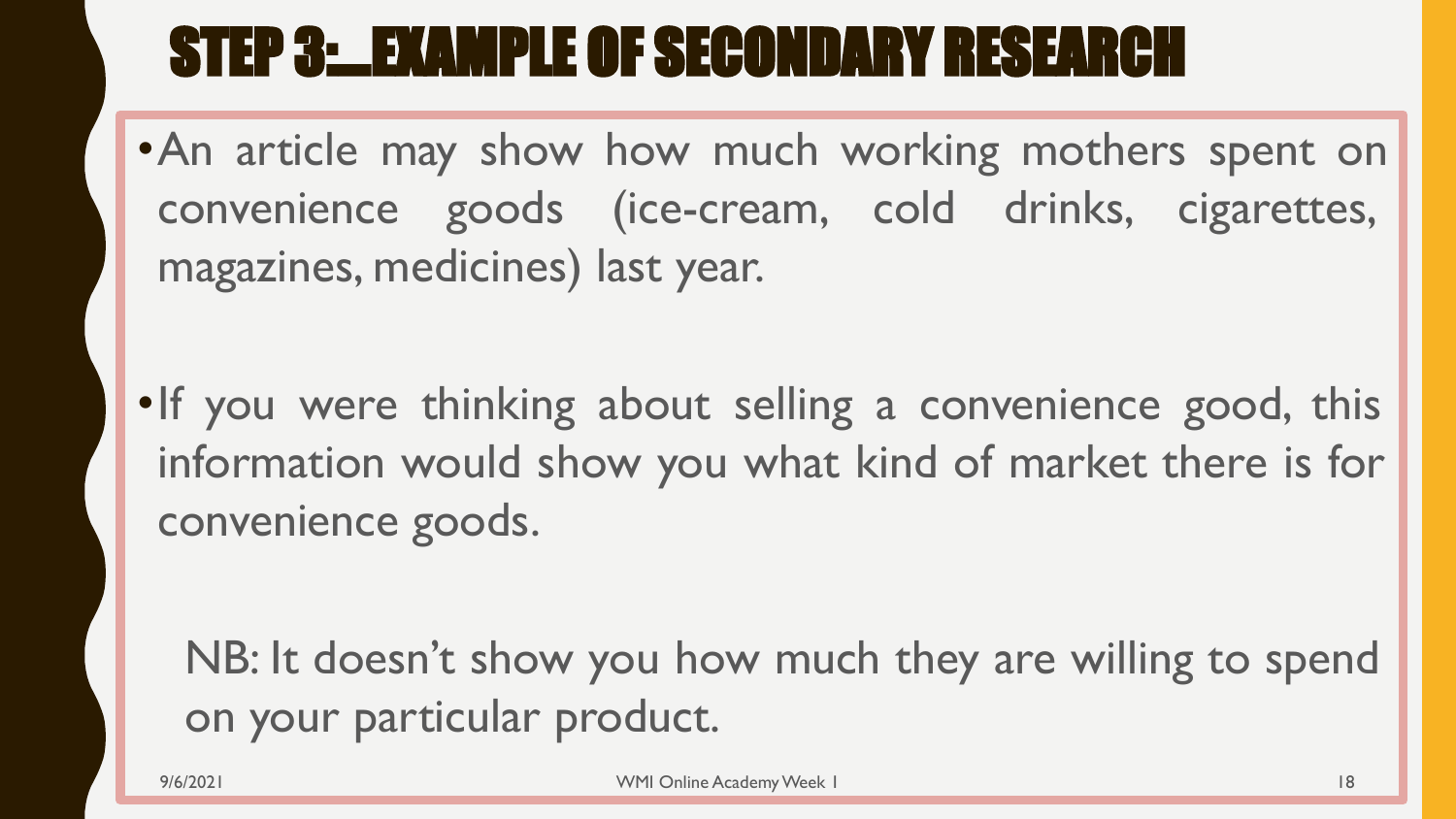## STEP 3:…EXAMPLE OF SECONDARY RESEARCH

•An article may show how much working mothers spent on convenience goods (ice-cream, cold drinks, cigarettes, magazines, medicines) last year.

•If you were thinking about selling a convenience good, this information would show you what kind of market there is for convenience goods.

NB: It doesn't show you how much they are willing to spend on your particular product.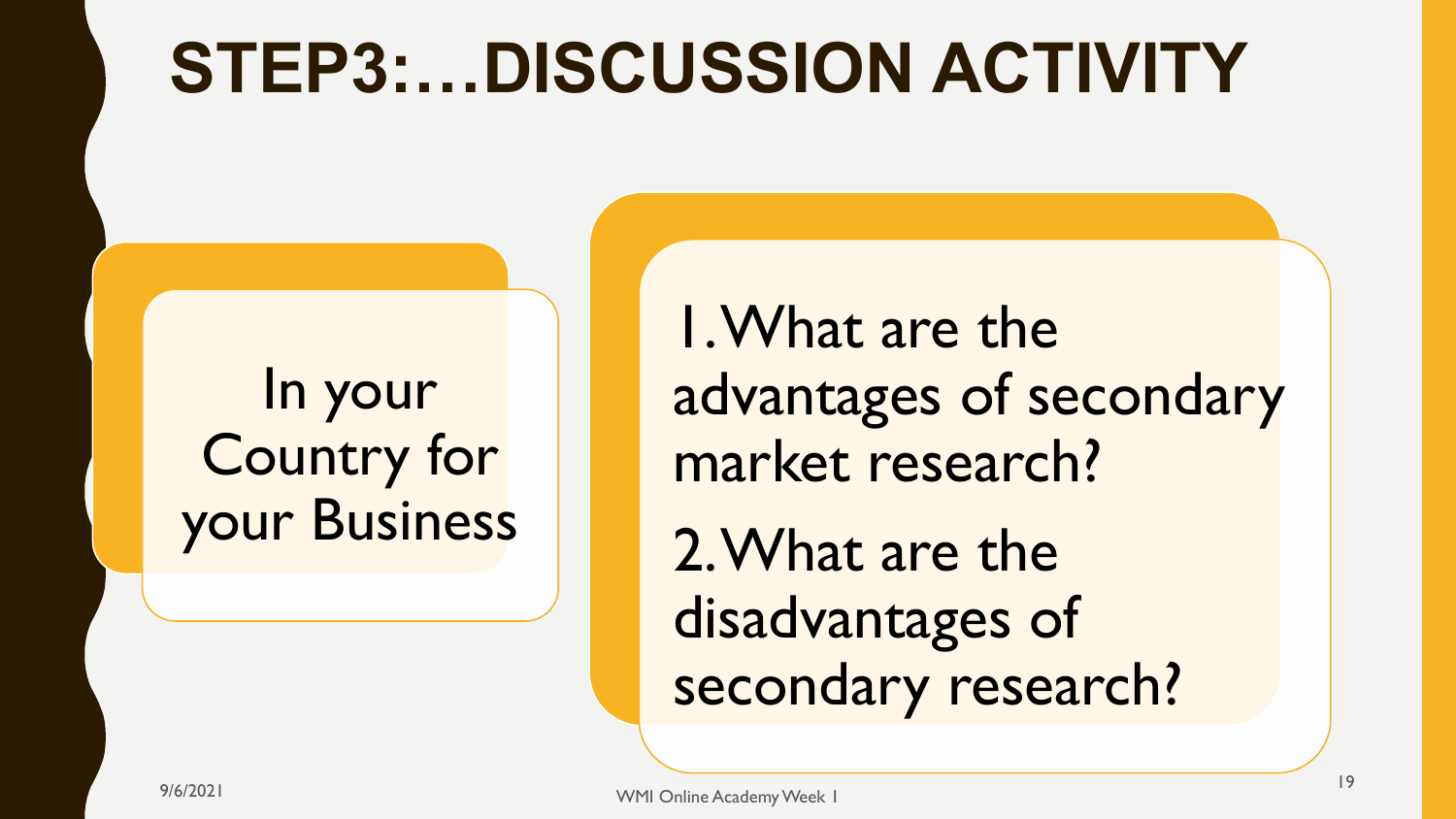# **STEP3:…DISCUSSION ACTIVITY**

In your Country for your Business

1. What are the advantages of secondary market research? 2. What are the disadvantages of secondary research?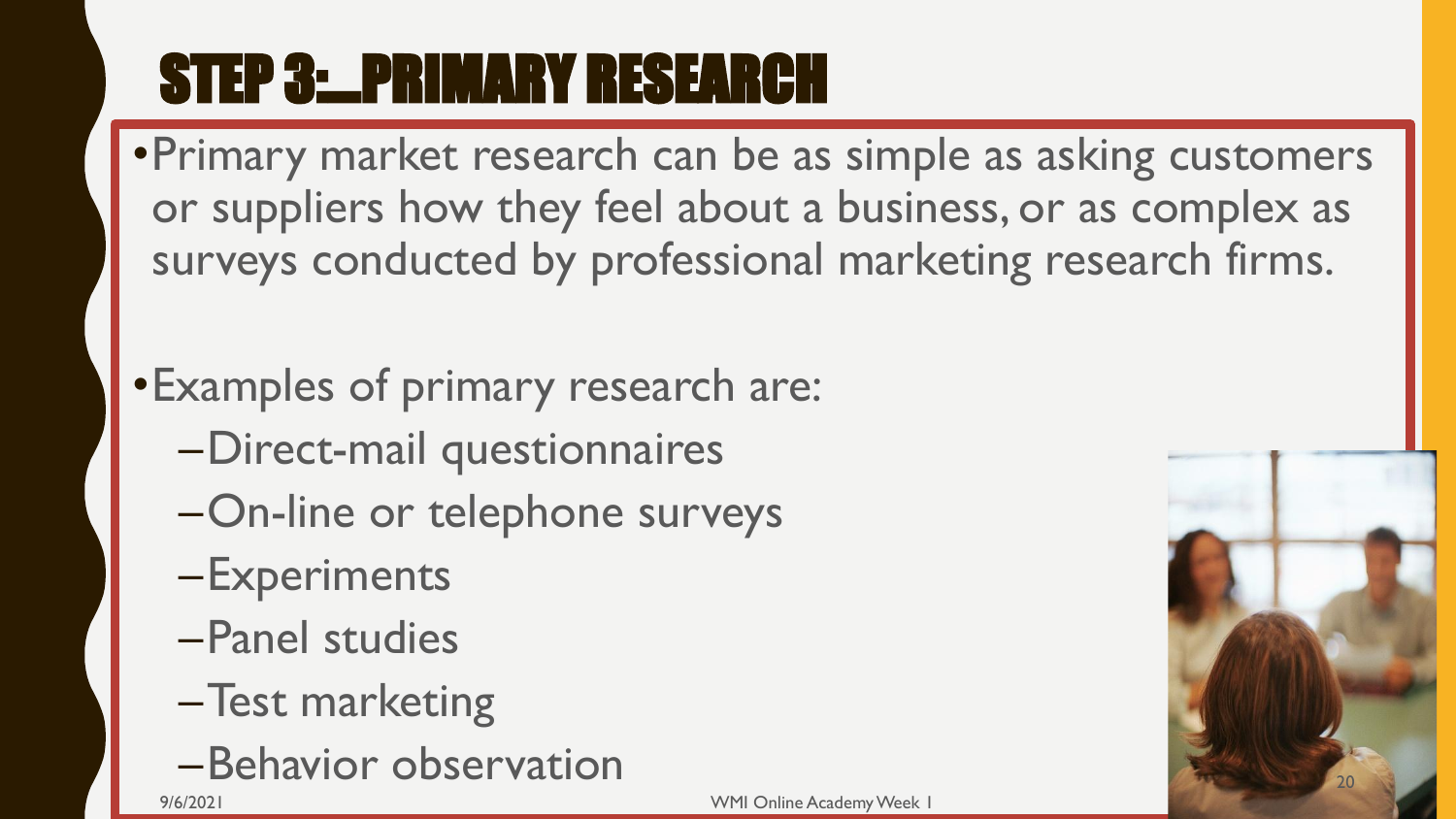# STEP 3:…PRIMARY RESEARCH

- •Primary market research can be as simple as asking customers or suppliers how they feel about a business, or as complex as surveys conducted by professional marketing research firms.
- •Examples of primary research are:
	- –Direct-mail questionnaires
	- –On-line or telephone surveys
	- –Experiments
	- –Panel studies
	- –Test marketing
	- –Behavior observation

9/6/2021 WMI Online Academy Week 1

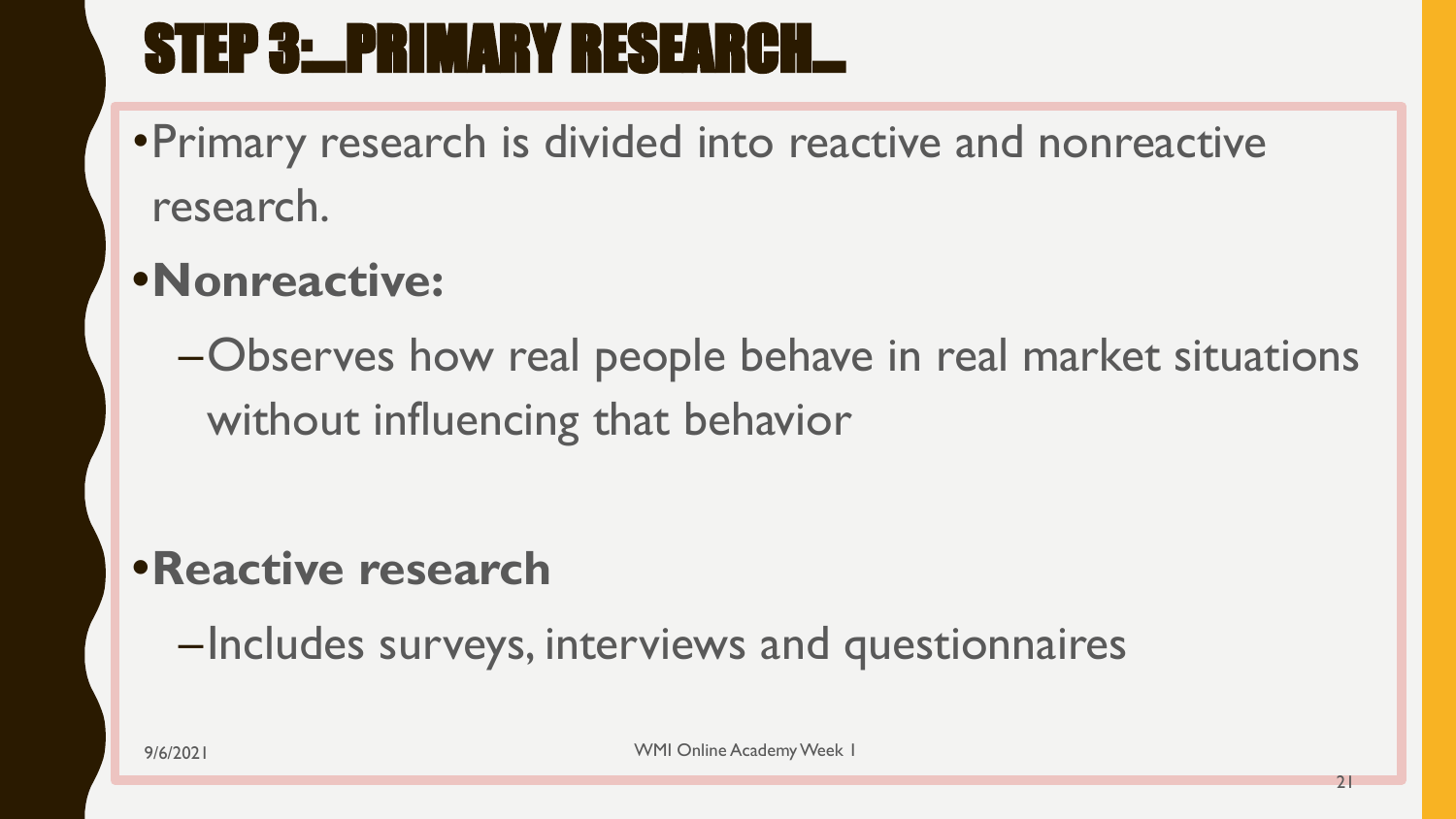# STEP 3:…PRIMARY RESEARCH…

•Primary research is divided into reactive and nonreactive research.

#### **•Nonreactive:**

–Observes how real people behave in real market situations without influencing that behavior

#### **•Reactive research**

–Includes surveys, interviews and questionnaires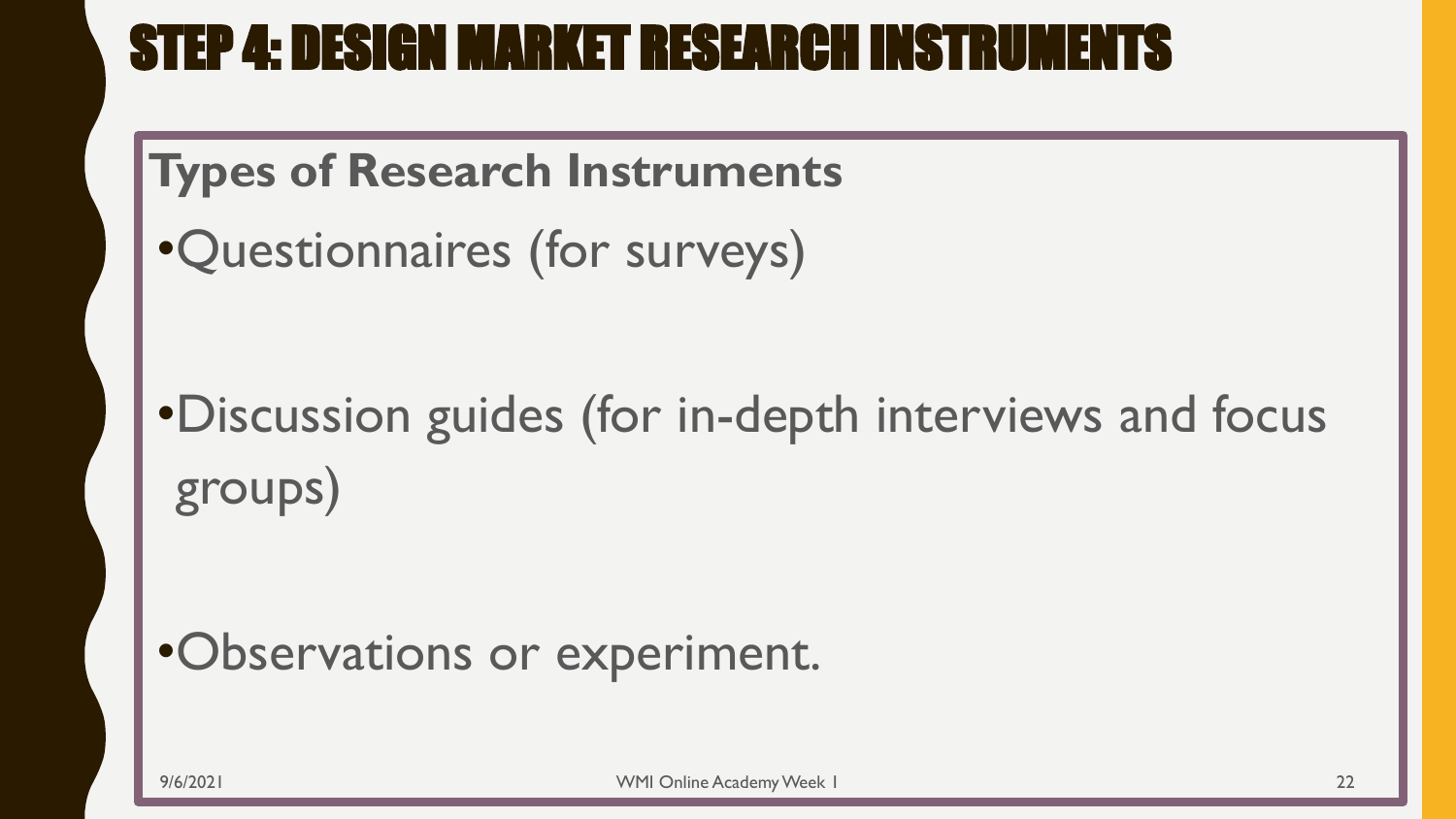#### STEP 4: DESIGN MARKET RESEARCH INSTRUMENTS

#### **Types of Research Instruments**

•Questionnaires (for surveys)

•Discussion guides (for in-depth interviews and focus groups)

#### •Observations or experiment.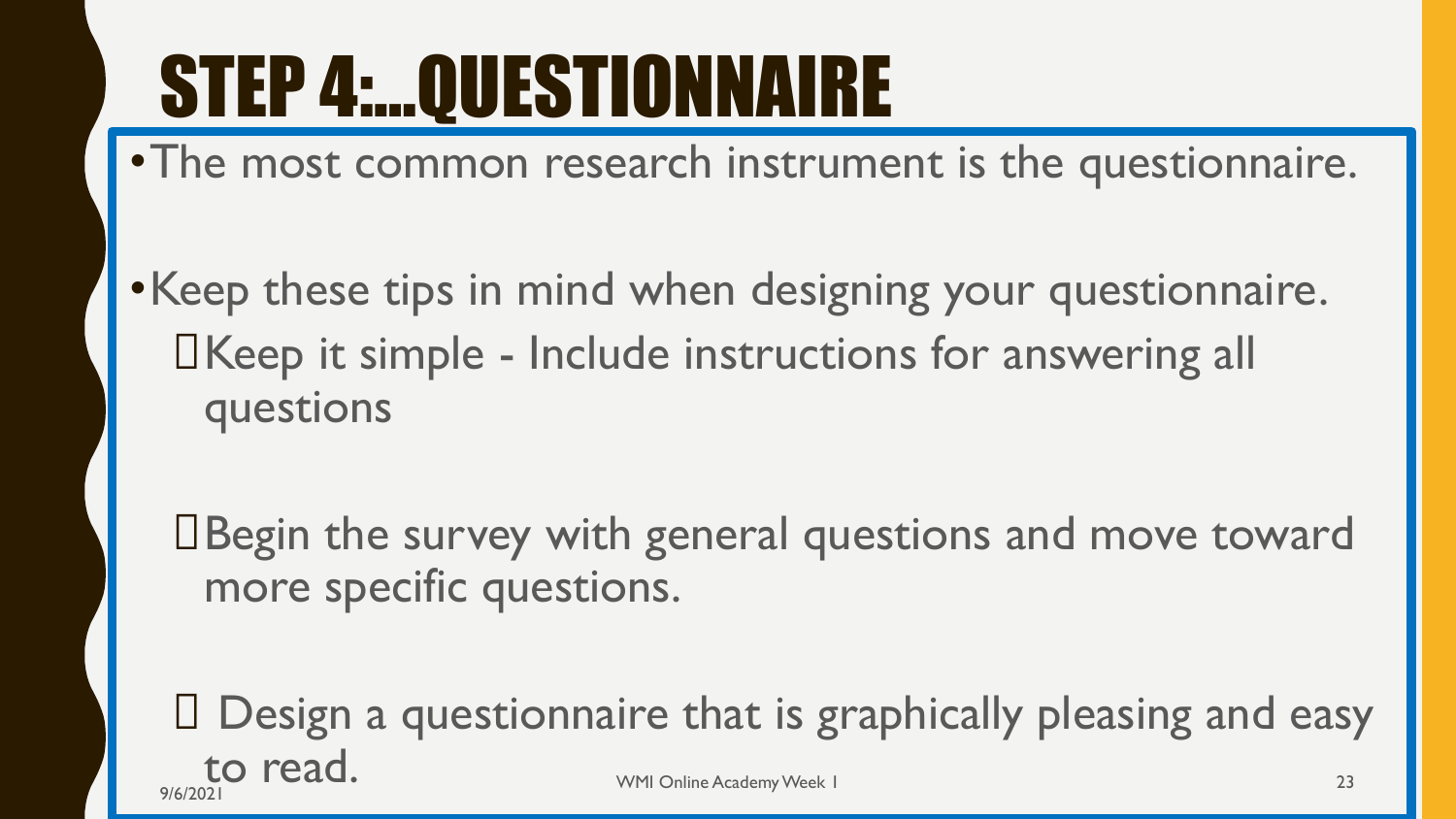# STEP 4:…QUESTIONNAIRE

•The most common research instrument is the questionnaire.

•Keep these tips in mind when designing your questionnaire. Keep it simple - Include instructions for answering all questions

Begin the survey with general questions and move toward more specific questions.

 Design a questionnaire that is graphically pleasing and easy to read. 9/6/2021 CAU . 23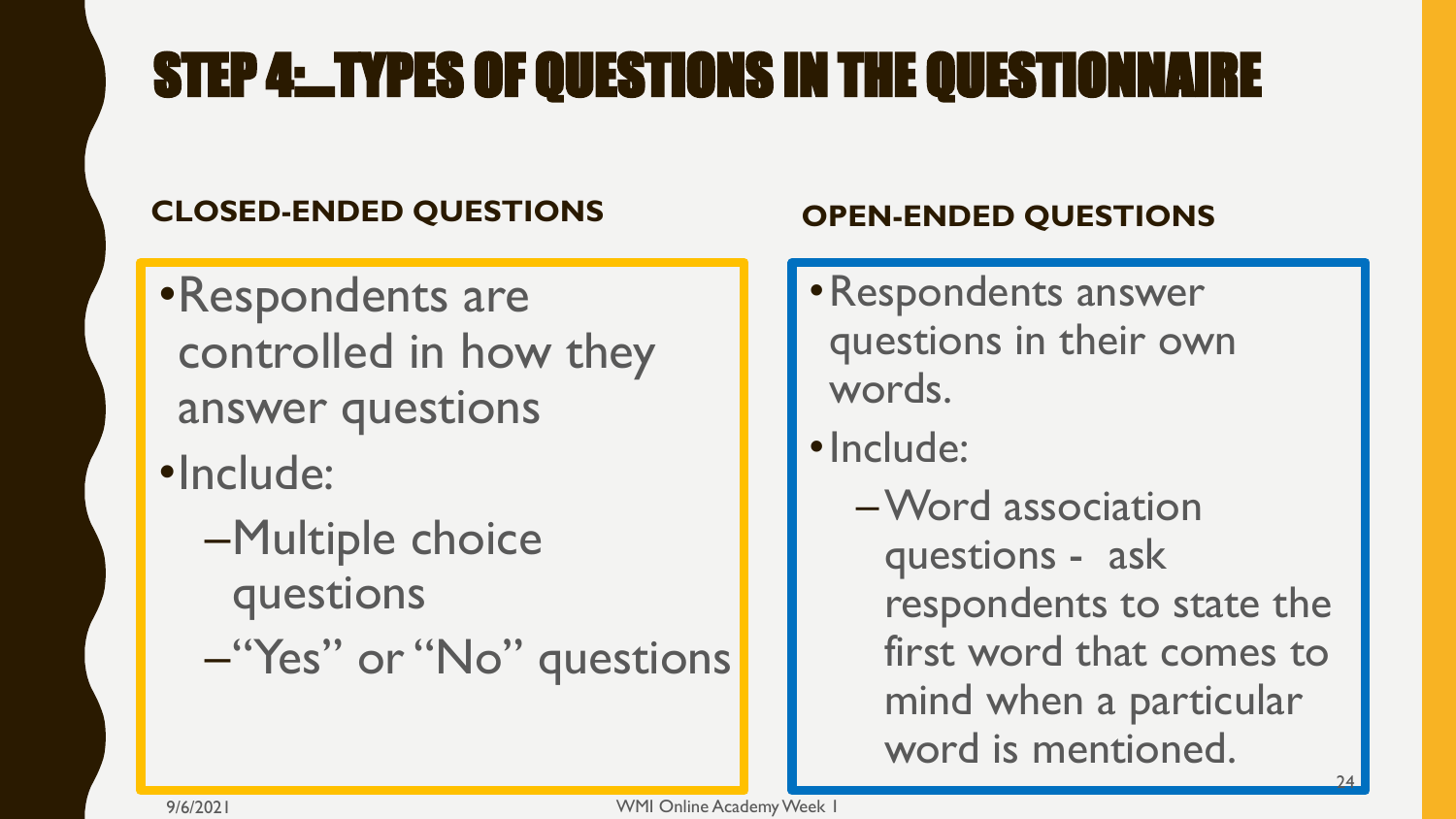## STEP 4:…TYPES OF QUESTIONS IN THE QUESTIONNAIRE

#### **CLOSED-ENDED QUESTIONS**

- •Respondents are controlled in how they answer questions
- •Include:
	- –Multiple choice questions
	- –"Yes" or "No" questions

#### **OPEN-ENDED QUESTIONS**

- •Respondents answer questions in their own words.
- •Include:
	- –Word association questions - ask respondents to state the first word that comes to mind when a particular word is mentioned.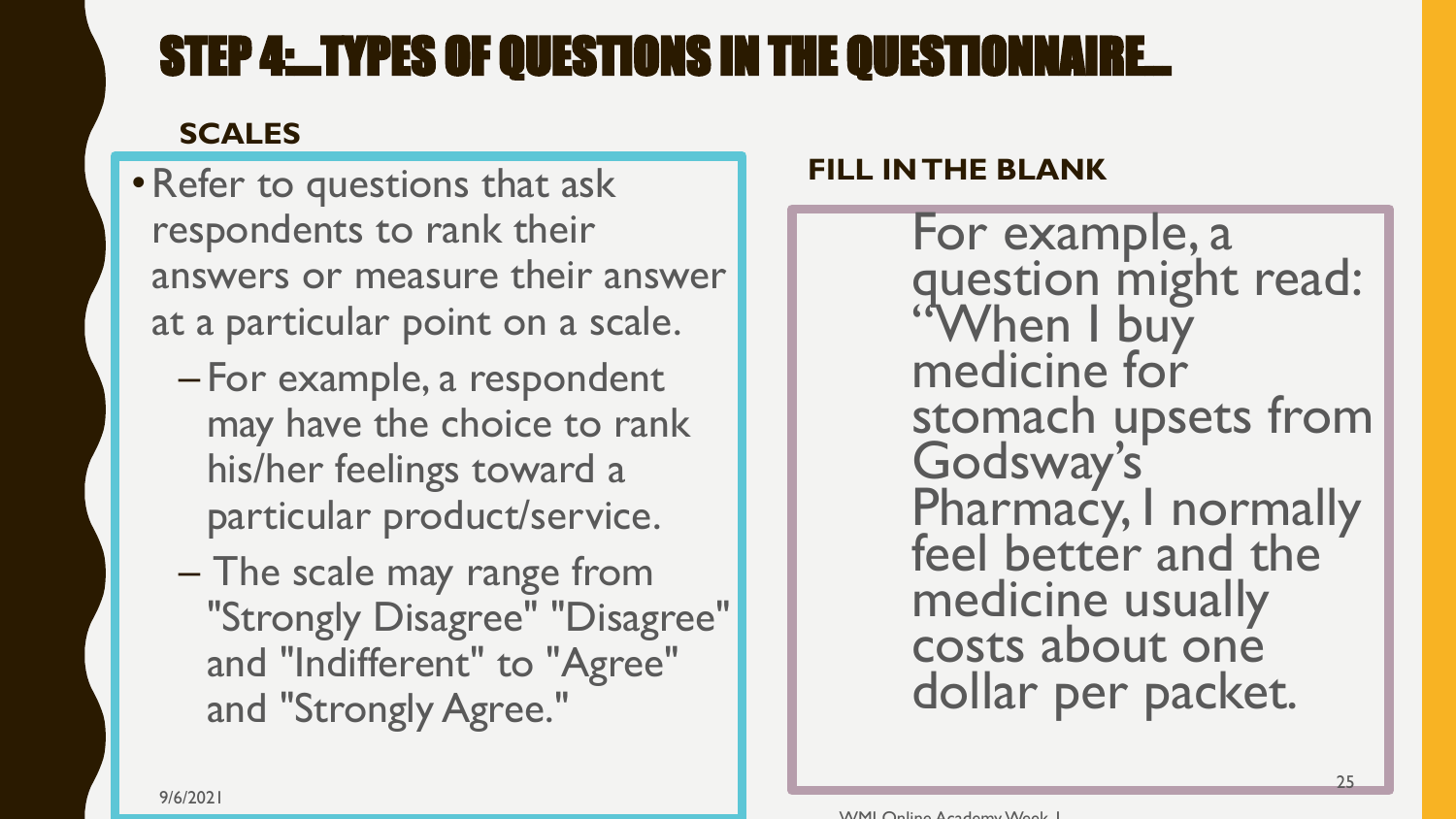#### STEP 4: LIYPES OF QUESTIONS IN THE QUESTIONNAIRE.

#### **SCALES**

- •Refer to questions that ask respondents to rank their answers or measure their answer at a particular point on a scale.
	- For example, a respondent may have the choice to rank his/her feelings toward a particular product/service.
	- The scale may range from "Strongly Disagree" "Disagree" and "Indifferent" to "Agree" and "Strongly Agree."

#### **FILL IN THE BLANK**

For example, a question might read: "When I buy medicine for stomach upsets from Godsway's Pharmacy, I normally feel better and the medicine usually costs about one dollar per packet.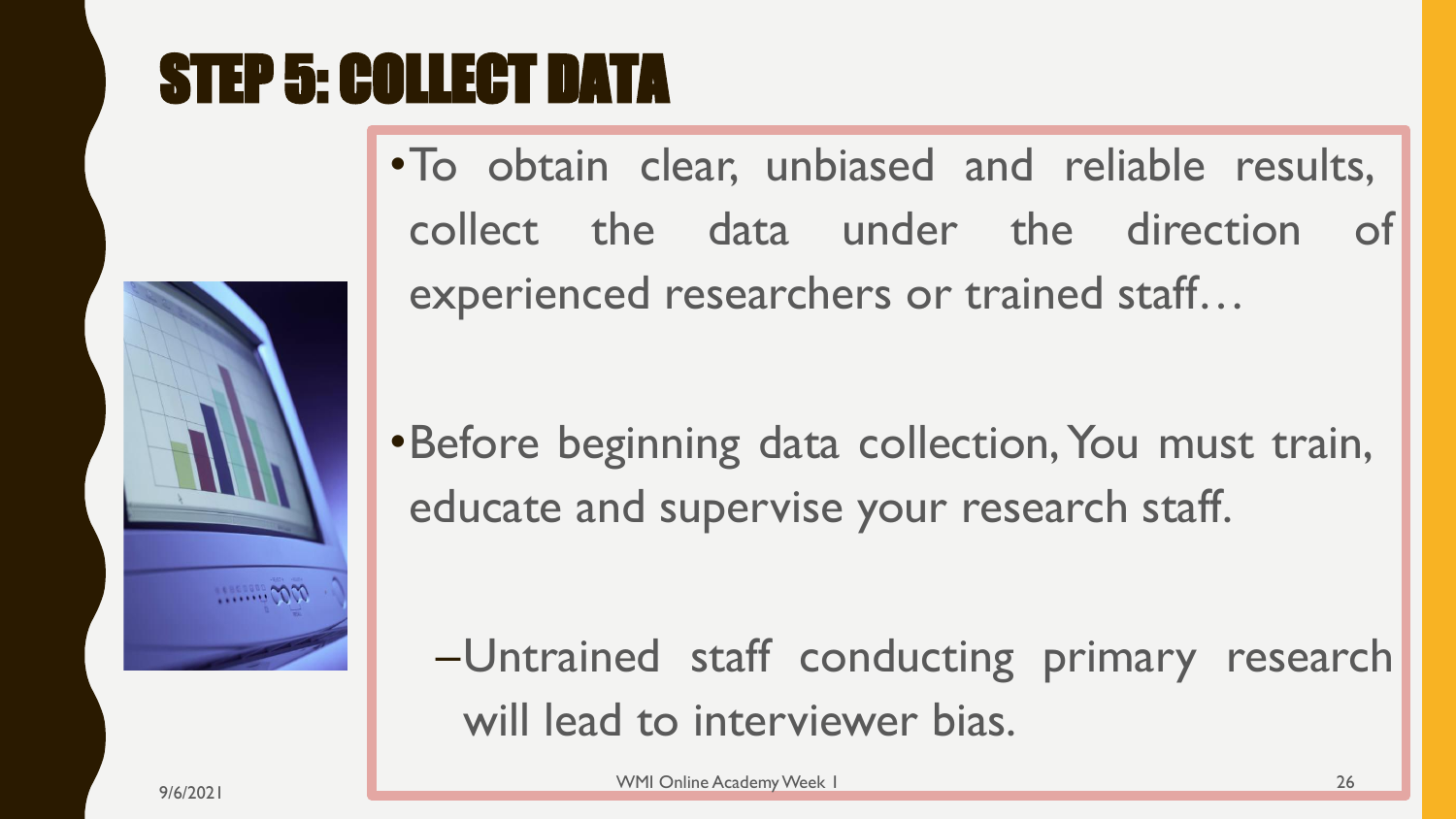# STEP 5: COLLECT DATA



•To obtain clear, unbiased and reliable results, collect the data under the direction of experienced researchers or trained staff…

•Before beginning data collection, You must train, educate and supervise your research staff.

–Untrained staff conducting primary research will lead to interviewer bias.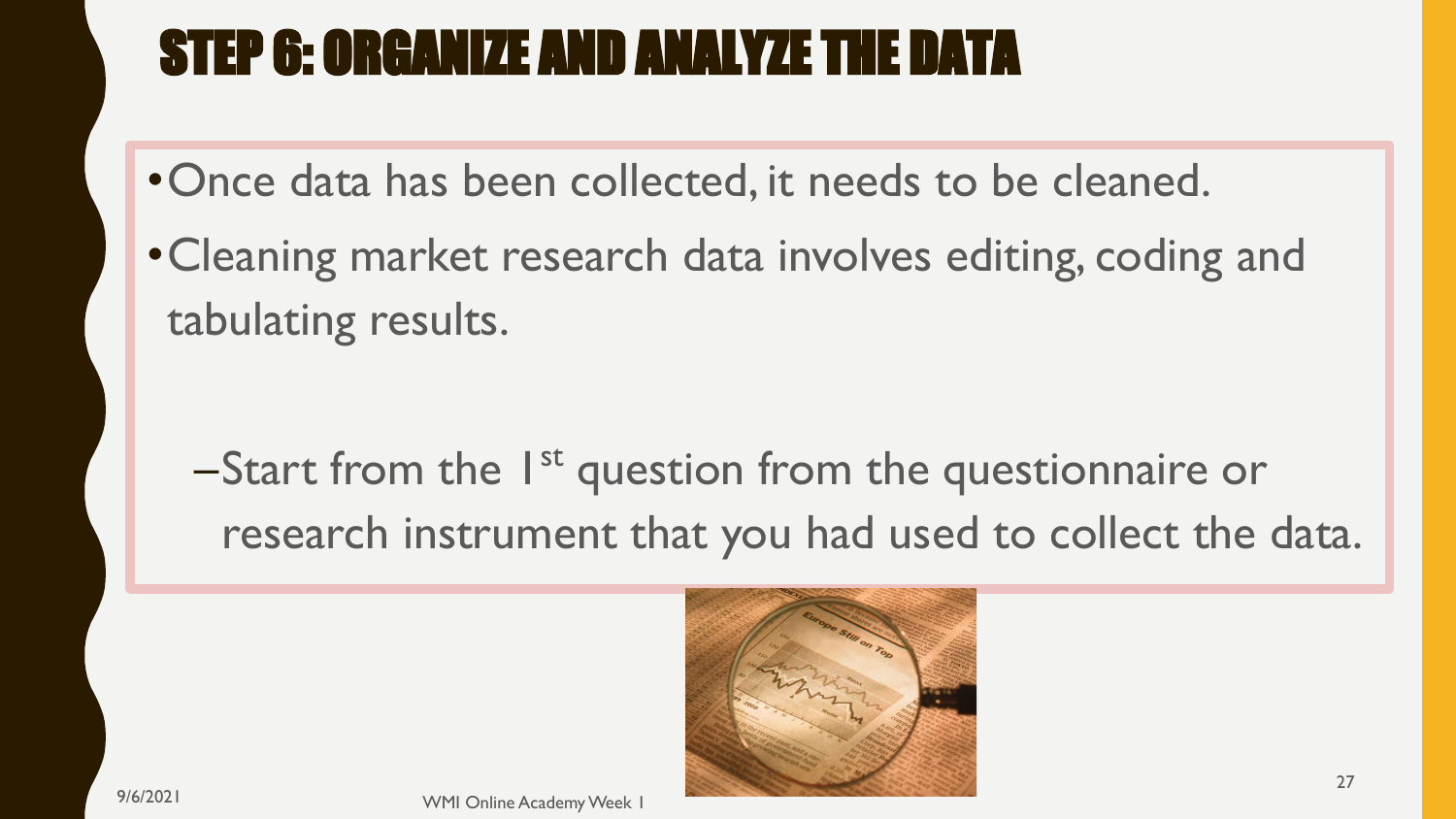### STEP 6: ORGANIZE AND ANALYZE THE DATA

- •Once data has been collected, it needs to be cleaned.
- •Cleaning market research data involves editing, coding and tabulating results.

–Start from the 1<sup>st</sup> question from the questionnaire or research instrument that you had used to collect the data.

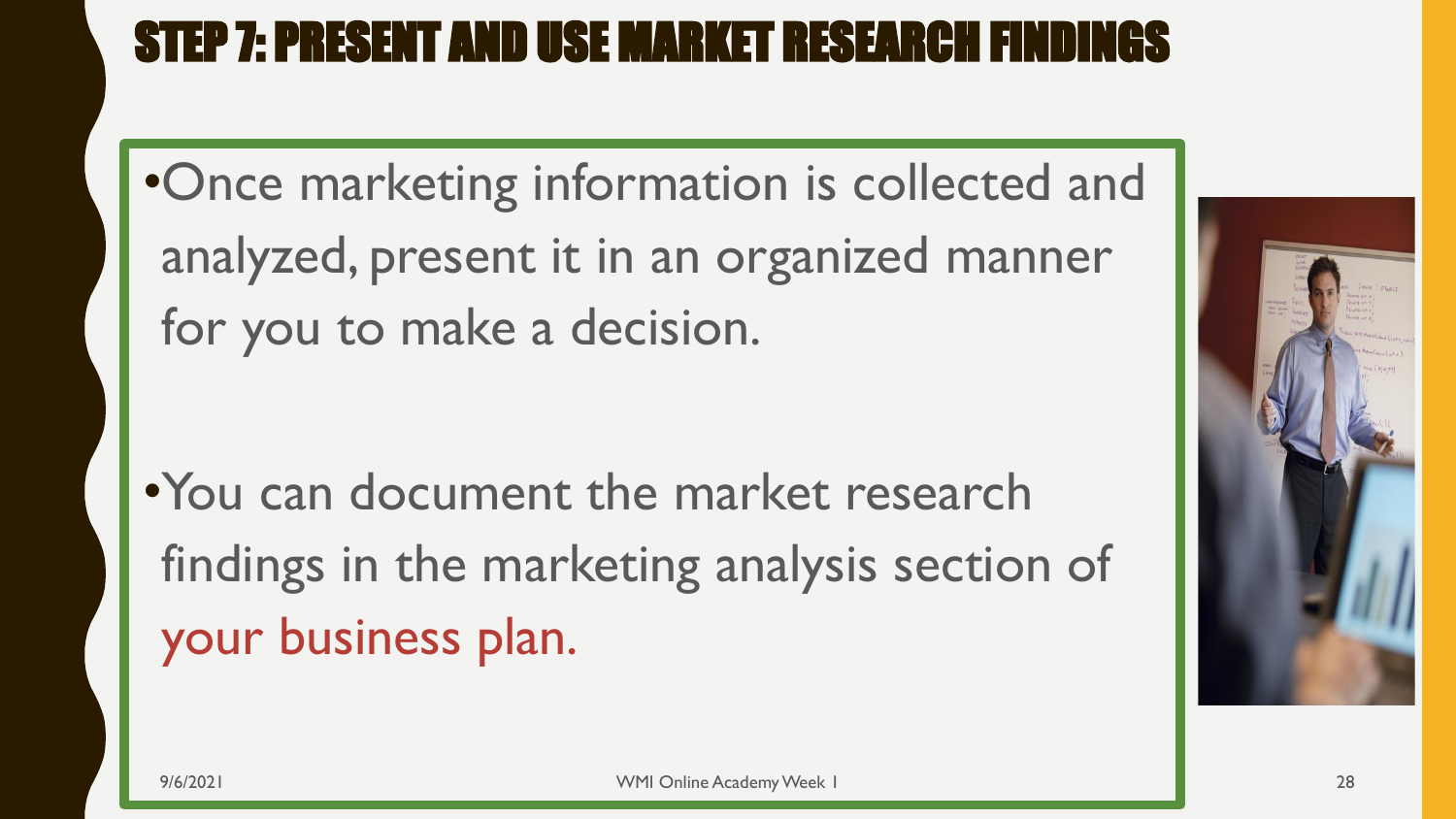#### STEP 7: PRESENT AND USE MARKET RESEARCH FINDINGS

•Once marketing information is collected and analyzed, present it in an organized manner for you to make a decision.

•You can document the market research findings in the marketing analysis section of your business plan.

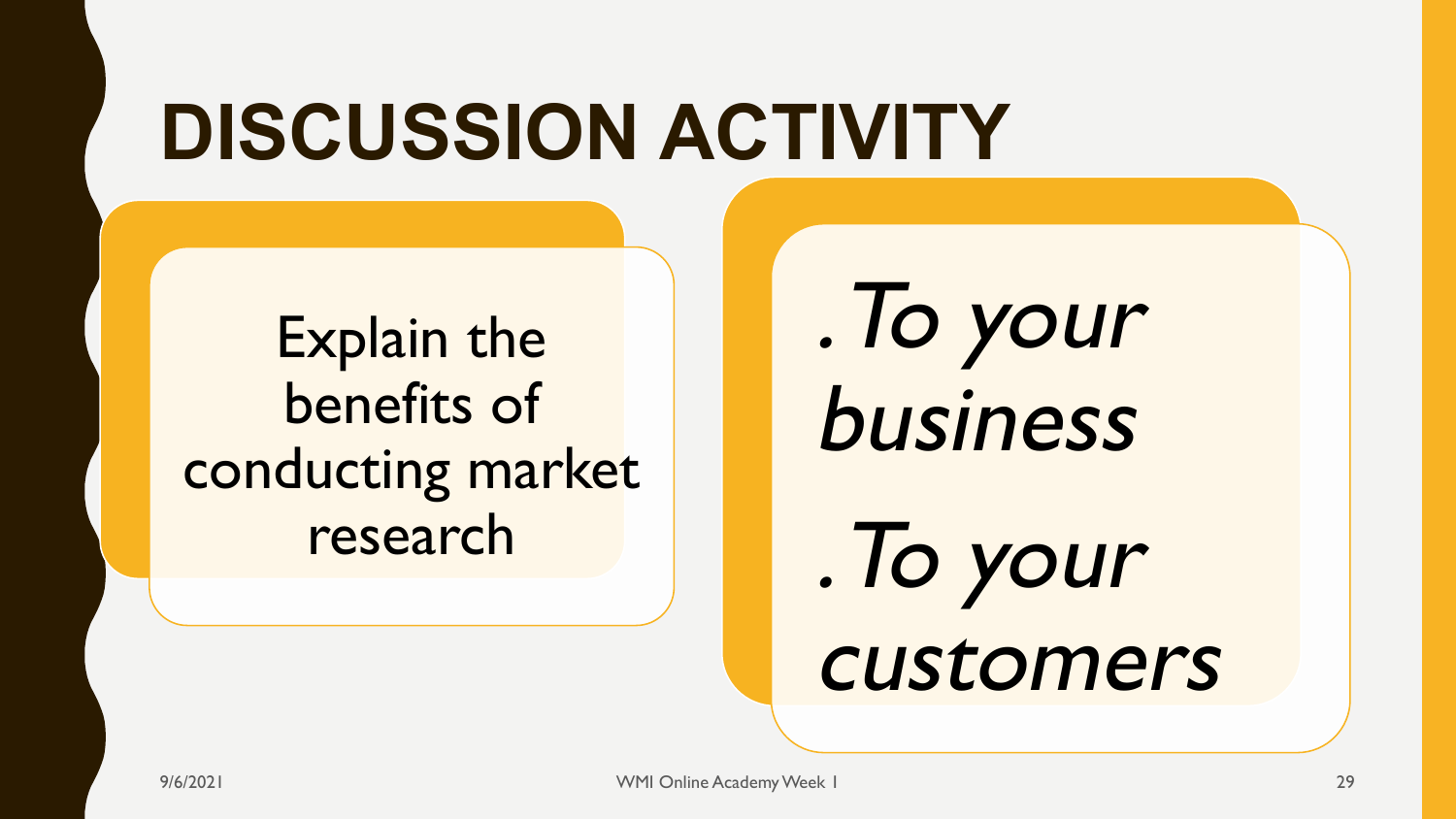# **DISCUSSION ACTIVITY**

Explain the benefits of conducting market research

. To your business

. To your customers